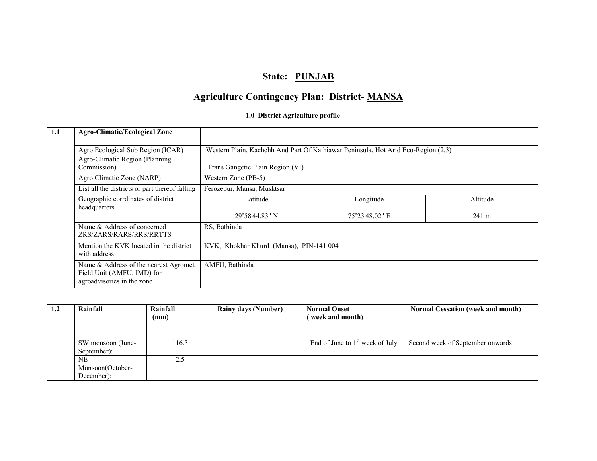# State: PUNJAB

# Agriculture Contingency Plan: District- MANSA

|                                                                                                    | 1.0 District Agriculture profile                                                                   |                                  |                                                                                   |          |  |  |
|----------------------------------------------------------------------------------------------------|----------------------------------------------------------------------------------------------------|----------------------------------|-----------------------------------------------------------------------------------|----------|--|--|
| 1.1                                                                                                | <b>Agro-Climatic/Ecological Zone</b>                                                               |                                  |                                                                                   |          |  |  |
|                                                                                                    | Agro Ecological Sub Region (ICAR)                                                                  |                                  | Western Plain, Kachchh And Part Of Kathiawar Peninsula, Hot Arid Eco-Region (2.3) |          |  |  |
|                                                                                                    | Agro-Climatic Region (Planning<br>Commission)                                                      | Trans Gangetic Plain Region (VI) |                                                                                   |          |  |  |
|                                                                                                    | Agro Climatic Zone (NARP)                                                                          | Western Zone (PB-5)              |                                                                                   |          |  |  |
|                                                                                                    | List all the districts or part thereof falling                                                     | Ferozepur, Mansa, Musktsar       |                                                                                   |          |  |  |
|                                                                                                    | Geographic corrdinates of district<br>headquarters                                                 | Latitude                         | Longitude                                                                         | Altitude |  |  |
|                                                                                                    |                                                                                                    | 29°58'44.83" N                   | 75°23'48.02" E                                                                    | 241 m    |  |  |
|                                                                                                    | Name & Address of concerned<br>RS, Bathinda<br>ZRS/ZARS/RARS/RRS/RRTTS                             |                                  |                                                                                   |          |  |  |
| KVK, Khokhar Khurd (Mansa), PIN-141 004<br>Mention the KVK located in the district<br>with address |                                                                                                    |                                  |                                                                                   |          |  |  |
|                                                                                                    | Name & Address of the nearest Agromet.<br>Field Unit (AMFU, IMD) for<br>agroadvisories in the zone | AMFU, Bathinda                   |                                                                                   |          |  |  |

| 1.2 | Rainfall          | Rainfall | <b>Rainy days (Number)</b> | <b>Normal Onset</b>               | <b>Normal Cessation (week and month)</b> |
|-----|-------------------|----------|----------------------------|-----------------------------------|------------------------------------------|
|     |                   | (mm)     |                            | (week and month)                  |                                          |
|     |                   |          |                            |                                   |                                          |
|     |                   |          |                            |                                   |                                          |
|     | SW monsoon (June- | 116.3    |                            | End of June to $1st$ week of July | Second week of September onwards         |
|     | September):       |          |                            |                                   |                                          |
|     | NE                | 2.5      |                            |                                   |                                          |
|     | Monsoon(October-  |          |                            |                                   |                                          |
|     | December):        |          |                            |                                   |                                          |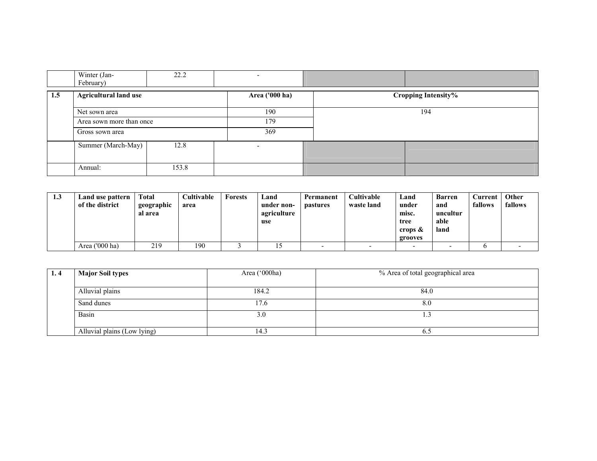|     | Winter (Jan-                 | 22.2  |     |                            |
|-----|------------------------------|-------|-----|----------------------------|
|     | February)                    |       |     |                            |
| 1.5 | <b>Agricultural land use</b> |       |     | <b>Cropping Intensity%</b> |
|     | Net sown area                |       | 190 | 194                        |
|     | Area sown more than once     |       | 179 |                            |
|     | Gross sown area              |       | 369 |                            |
|     | Summer (March-May)           | 12.8  |     |                            |
|     | Annual:                      | 153.8 |     |                            |

| 1.3 | Land use pattern<br>of the district | <b>Total</b><br>geographic<br>al area | Cultivable<br>area | <b>Forests</b> | Land<br>under non-<br>agriculture<br>use | Permanent<br><b>pastures</b> | <b>Cultivable</b><br>waste land | Land<br>under<br>misc.<br>tree<br>crops & | <b>Barren</b><br>and<br>uncultur<br>able<br>land | Current<br>fallows | Other<br>fallows |
|-----|-------------------------------------|---------------------------------------|--------------------|----------------|------------------------------------------|------------------------------|---------------------------------|-------------------------------------------|--------------------------------------------------|--------------------|------------------|
|     |                                     |                                       |                    |                |                                          |                              |                                 | grooves                                   |                                                  |                    |                  |
|     | Area $(000 \text{ ha})$             | 219                                   | 190                |                |                                          |                              |                                 |                                           |                                                  |                    |                  |

| 1.4 | <b>Major Soil types</b>     | Area ('000ha) | % Area of total geographical area |  |  |
|-----|-----------------------------|---------------|-----------------------------------|--|--|
|     |                             |               |                                   |  |  |
|     | Alluvial plains             | 184.2         | 84.0                              |  |  |
|     | Sand dunes                  | 17.6          | 8.0                               |  |  |
|     | Basin                       | 3.0           | . .                               |  |  |
|     | Alluvial plains (Low lying) | 14.3          | 0.J                               |  |  |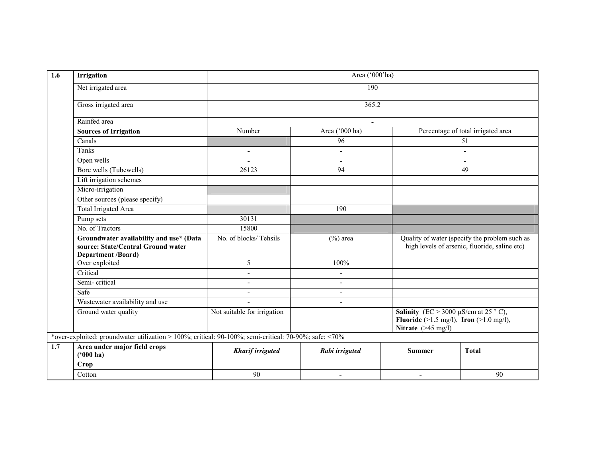| 1.6 | <b>Irrigation</b>                                                                                          |                             | Area ('000'ha)           |                                                                                                                       |                                                                                                |  |  |  |
|-----|------------------------------------------------------------------------------------------------------------|-----------------------------|--------------------------|-----------------------------------------------------------------------------------------------------------------------|------------------------------------------------------------------------------------------------|--|--|--|
|     | Net irrigated area                                                                                         | 190                         |                          |                                                                                                                       |                                                                                                |  |  |  |
|     | Gross irrigated area                                                                                       | 365.2                       |                          |                                                                                                                       |                                                                                                |  |  |  |
|     | Rainfed area                                                                                               |                             | $\blacksquare$           |                                                                                                                       |                                                                                                |  |  |  |
|     | <b>Sources of Irrigation</b>                                                                               | Number                      | Area ('000 ha)           |                                                                                                                       | Percentage of total irrigated area                                                             |  |  |  |
|     | Canals                                                                                                     |                             | 96                       |                                                                                                                       | 51                                                                                             |  |  |  |
|     | Tanks                                                                                                      | $\overline{\phantom{a}}$    | $\blacksquare$           |                                                                                                                       | $\overline{\phantom{a}}$                                                                       |  |  |  |
|     | Open wells                                                                                                 |                             | $\overline{\phantom{a}}$ |                                                                                                                       |                                                                                                |  |  |  |
|     | Bore wells (Tubewells)                                                                                     | 26123                       | 94                       |                                                                                                                       | 49                                                                                             |  |  |  |
|     | Lift irrigation schemes                                                                                    |                             |                          |                                                                                                                       |                                                                                                |  |  |  |
|     | Micro-irrigation                                                                                           |                             |                          |                                                                                                                       |                                                                                                |  |  |  |
|     | Other sources (please specify)                                                                             |                             |                          |                                                                                                                       |                                                                                                |  |  |  |
|     | <b>Total Irrigated Area</b>                                                                                |                             | 190                      |                                                                                                                       |                                                                                                |  |  |  |
|     | Pump sets                                                                                                  | 30131                       |                          |                                                                                                                       |                                                                                                |  |  |  |
|     | No. of Tractors                                                                                            | 15800                       |                          |                                                                                                                       |                                                                                                |  |  |  |
|     | Groundwater availability and use* (Data<br>source: State/Central Ground water<br><b>Department /Board)</b> | No. of blocks/Tehsils       | $(\%)$ area              |                                                                                                                       | Quality of water (specify the problem such as<br>high levels of arsenic, fluoride, saline etc) |  |  |  |
|     | Over exploited                                                                                             | 5                           | 100%                     |                                                                                                                       |                                                                                                |  |  |  |
|     | Critical                                                                                                   | $\overline{\phantom{a}}$    | $\overline{\phantom{a}}$ |                                                                                                                       |                                                                                                |  |  |  |
|     | Semi-critical                                                                                              |                             | ۰                        |                                                                                                                       |                                                                                                |  |  |  |
|     | Safe                                                                                                       | $\overline{a}$              | $\blacksquare$           |                                                                                                                       |                                                                                                |  |  |  |
|     | Wastewater availability and use                                                                            | $\overline{a}$              | $\overline{a}$           |                                                                                                                       |                                                                                                |  |  |  |
|     | Ground water quality                                                                                       | Not suitable for irrigation |                          | <b>Salinity</b> (EC > 3000 $\mu$ S/cm at 25 ° C),<br>Fluoride (>1.5 mg/l), Iron (>1.0 mg/l),<br>Nitrate $($ >45 mg/l) |                                                                                                |  |  |  |
|     | *over-exploited: groundwater utilization > 100%; critical: 90-100%; semi-critical: 70-90%; safe: <70%      |                             |                          |                                                                                                                       |                                                                                                |  |  |  |
| 1.7 | Area under major field crops<br>$(900)$ ha)                                                                | <b>Kharif irrigated</b>     | Rabi irrigated           | <b>Summer</b>                                                                                                         | <b>Total</b>                                                                                   |  |  |  |
|     | <b>Crop</b>                                                                                                |                             |                          |                                                                                                                       |                                                                                                |  |  |  |
|     | Cotton                                                                                                     | 90                          | $\overline{\phantom{0}}$ | $\overline{\phantom{0}}$                                                                                              | 90                                                                                             |  |  |  |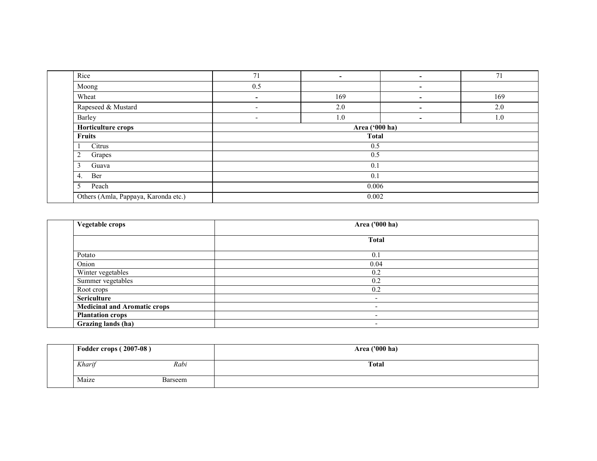| Rice                                 | 71                       | $\overline{\phantom{a}}$ | ۰. | 71  |  |  |
|--------------------------------------|--------------------------|--------------------------|----|-----|--|--|
| Moong                                | 0.5                      |                          | ۰. |     |  |  |
| Wheat                                | ۰.                       | 169                      | ۰  | 169 |  |  |
| Rapeseed & Mustard                   | $\overline{\phantom{a}}$ | 2.0                      | ٠  | 2.0 |  |  |
| Barley                               | $\sim$                   | 1.0                      | ۰  | 1.0 |  |  |
| Horticulture crops                   |                          | Area ('000 ha)           |    |     |  |  |
| <b>Fruits</b>                        | <b>Total</b>             |                          |    |     |  |  |
| Citrus                               | 0.5                      |                          |    |     |  |  |
| $\overline{2}$<br>Grapes             |                          | 0.5                      |    |     |  |  |
| Guava<br>3                           | 0.1                      |                          |    |     |  |  |
| Ber<br>4.                            | 0.1                      |                          |    |     |  |  |
| 5<br>Peach                           | 0.006                    |                          |    |     |  |  |
| Others (Amla, Pappaya, Karonda etc.) | 0.002                    |                          |    |     |  |  |

| Vegetable crops                     | Area ('000 ha)           |
|-------------------------------------|--------------------------|
|                                     | <b>Total</b>             |
| Potato                              | 0.1                      |
| Onion                               | 0.04                     |
| Winter vegetables                   | 0.2                      |
| Summer vegetables                   | 0.2                      |
| Root crops                          | 0.2                      |
| <b>Sericulture</b>                  | $\overline{\phantom{0}}$ |
| <b>Medicinal and Aromatic crops</b> | $\overline{\phantom{0}}$ |
| <b>Plantation crops</b>             | $\overline{\phantom{0}}$ |
| Grazing lands (ha)                  | -                        |

| Fodder crops (2007-08) |         | Area ('000 ha) |
|------------------------|---------|----------------|
| Kharif                 | Rabi    | <b>Total</b>   |
| Maize                  | Barseem |                |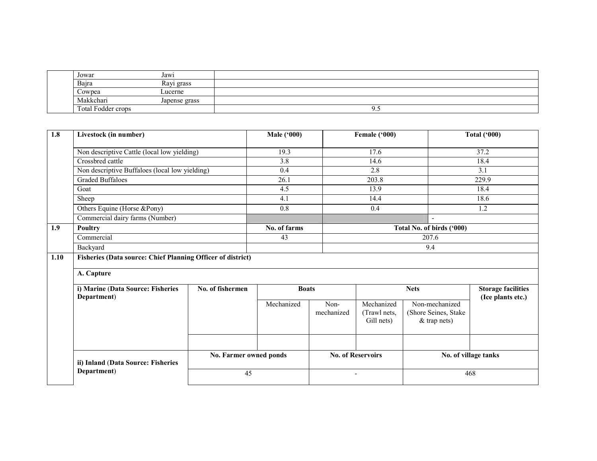| Jowar              | Jawi          |     |
|--------------------|---------------|-----|
| Bajra              | Rayi grass    |     |
| Cowpea             | Lucerne       |     |
| Makkchari          | Japense grass |     |
| Total Fodder crops |               | ر . |

| 1.8  | Livestock (in number)                                       |                        | Male $(900)$ |                    | Female ('000)                            |                                                          | <b>Total ('000)</b>                            |  |
|------|-------------------------------------------------------------|------------------------|--------------|--------------------|------------------------------------------|----------------------------------------------------------|------------------------------------------------|--|
|      | Non descriptive Cattle (local low yielding)                 |                        | 19.3         |                    | 17.6                                     |                                                          | 37.2                                           |  |
|      | Crossbred cattle                                            |                        | 3.8          |                    | 14.6                                     |                                                          | 18.4                                           |  |
|      | Non descriptive Buffaloes (local low yielding)              |                        | 0.4          |                    | 2.8                                      |                                                          | 3.1                                            |  |
|      | <b>Graded Buffaloes</b>                                     |                        | 26.1         |                    | 203.8                                    |                                                          | 229.9                                          |  |
|      | Goat                                                        |                        | 4.5          |                    | 13.9                                     |                                                          | 18.4                                           |  |
|      | Sheep                                                       |                        | 4.1          |                    | 14.4                                     |                                                          | 18.6                                           |  |
|      | Others Equine (Horse &Pony)                                 |                        | 0.8          |                    | 0.4                                      |                                                          | 1.2                                            |  |
|      | Commercial dairy farms (Number)                             |                        |              |                    |                                          | $\overline{a}$                                           |                                                |  |
| 1.9  | Poultry                                                     |                        | No. of farms |                    |                                          | Total No. of birds ('000)                                |                                                |  |
|      | Commercial                                                  |                        | 43           |                    |                                          | 207.6                                                    |                                                |  |
|      | Backyard                                                    |                        |              |                    |                                          | 9.4                                                      |                                                |  |
| 1.10 | Fisheries (Data source: Chief Planning Officer of district) |                        |              |                    |                                          |                                                          |                                                |  |
|      | A. Capture                                                  |                        |              |                    |                                          |                                                          |                                                |  |
|      | i) Marine (Data Source: Fisheries<br>Department)            | No. of fishermen       | <b>Boats</b> |                    | <b>Nets</b>                              |                                                          | <b>Storage facilities</b><br>(Ice plants etc.) |  |
|      |                                                             |                        | Mechanized   | Non-<br>mechanized | Mechanized<br>(Trawl nets.<br>Gill nets) | Non-mechanized<br>(Shore Seines, Stake<br>$&$ trap nets) |                                                |  |
|      |                                                             |                        |              |                    |                                          |                                                          |                                                |  |
|      | ii) Inland (Data Source: Fisheries                          | No. Farmer owned ponds |              |                    | <b>No. of Reservoirs</b>                 |                                                          | No. of village tanks                           |  |
|      | Department)                                                 | 45                     |              |                    | $\blacksquare$                           |                                                          | 468                                            |  |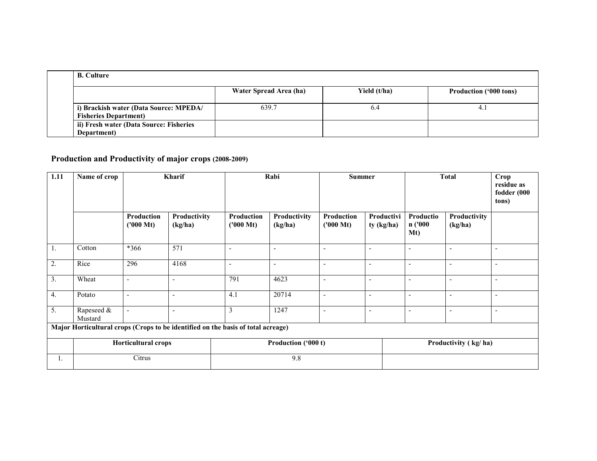| <b>B.</b> Culture                                                       |                        |              |                        |
|-------------------------------------------------------------------------|------------------------|--------------|------------------------|
|                                                                         | Water Spread Area (ha) | Yield (t/ha) | Production ('000 tons) |
| i) Brackish water (Data Source: MPEDA/<br><b>Fisheries Department</b> ) | 639.7                  | 6.4          | 4.1                    |
| ii) Fresh water (Data Source: Fisheries<br>Department)                  |                        |              |                        |

### Production and Productivity of major crops (2008-2009)

| 1.11                                                                             | Name of crop               | Kharif                                   |                          | Rabi                              |                          | <b>Summer</b>            |                          | <b>Total</b>                           |                          | Crop<br>residue as<br>fodder (000<br>tons) |
|----------------------------------------------------------------------------------|----------------------------|------------------------------------------|--------------------------|-----------------------------------|--------------------------|--------------------------|--------------------------|----------------------------------------|--------------------------|--------------------------------------------|
|                                                                                  |                            | <b>Production</b><br>$(1000 \text{ Mt})$ | Productivity<br>(kg/ha)  | Production<br>$(1000 \text{ Mt})$ | Productivity<br>(kg/ha)  | Production<br>('000 Mt)  | Productivi<br>ty (kg/ha) | Productio<br>n ('000<br>M <sub>t</sub> | Productivity<br>(kg/ha)  |                                            |
| $\mathbf{1}$ .                                                                   | Cotton                     | *366                                     | 571                      | $\overline{\phantom{a}}$          | $\overline{\phantom{a}}$ | ٠                        | $\overline{\phantom{0}}$ | $\overline{\phantom{0}}$               |                          | $\overline{\phantom{0}}$                   |
| 2.                                                                               | Rice                       | 296                                      | 4168                     | $\overline{\phantom{a}}$          | $\blacksquare$           | $\overline{\phantom{a}}$ | $\overline{\phantom{a}}$ | $\overline{\phantom{0}}$               |                          | $\overline{\phantom{a}}$                   |
| 3.                                                                               | Wheat                      | $\overline{\phantom{a}}$                 | $\overline{\phantom{a}}$ | 791                               | 4623                     | $\blacksquare$           | $\sim$                   | $\overline{\phantom{a}}$               | $\overline{\phantom{a}}$ | $\overline{\phantom{0}}$                   |
| 4.                                                                               | Potato                     | $\blacksquare$                           | $\overline{\phantom{a}}$ | 4.1                               | 20714                    | $\blacksquare$           | $\overline{\phantom{a}}$ | $\overline{\phantom{a}}$               | $\overline{\phantom{a}}$ | $\overline{\phantom{a}}$                   |
| 5.                                                                               | Rapeseed &<br>Mustard      | $\overline{\phantom{a}}$                 | $\overline{\phantom{a}}$ | 3                                 | 1247                     | $\blacksquare$           | $\blacksquare$           | $\overline{\phantom{a}}$               | $\overline{\phantom{a}}$ | $\overline{\phantom{a}}$                   |
| Major Horticultural crops (Crops to be identified on the basis of total acreage) |                            |                                          |                          |                                   |                          |                          |                          |                                        |                          |                                            |
|                                                                                  | <b>Horticultural crops</b> |                                          |                          | Production ('000 t)               |                          |                          |                          | Productivity (kg/ha)                   |                          |                                            |
| 1.                                                                               |                            | Citrus                                   |                          |                                   | 9.8                      |                          |                          |                                        |                          |                                            |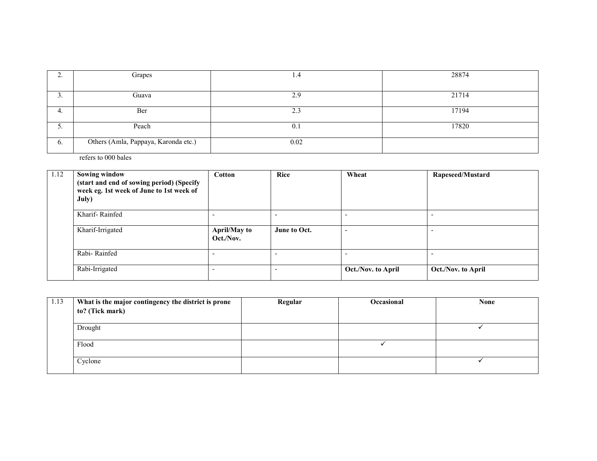| ٠.               | Grapes                               | 1.4  | 28874 |
|------------------|--------------------------------------|------|-------|
|                  |                                      |      |       |
|                  | Guava                                | 2.9  | 21714 |
|                  |                                      |      |       |
| 4.               | Ber                                  | 2.3  | 17194 |
|                  |                                      |      |       |
| <u>.</u>         | Peach                                | 0.1  | 17820 |
|                  |                                      |      |       |
| $\mathfrak{b}$ . | Others (Amla, Pappaya, Karonda etc.) | 0.02 |       |
|                  |                                      |      |       |

refers to 000 bales

| 1.12 | <b>Sowing window</b><br>(start and end of sowing period) (Specify<br>week eg. 1st week of June to 1st week of<br>July) | <b>Cotton</b>                    | Rice         | Wheat                    | Rapeseed/Mustard   |
|------|------------------------------------------------------------------------------------------------------------------------|----------------------------------|--------------|--------------------------|--------------------|
|      | Kharif-Rainfed                                                                                                         |                                  |              | ٠                        |                    |
|      | Kharif-Irrigated                                                                                                       | <b>April/May to</b><br>Oct./Nov. | June to Oct. | $\overline{\phantom{0}}$ |                    |
|      | Rabi-Rainfed                                                                                                           |                                  |              | $\overline{\phantom{0}}$ |                    |
|      | Rabi-Irrigated                                                                                                         |                                  |              | Oct./Nov. to April       | Oct./Nov. to April |

| 1.13 | What is the major contingency the district is prone | Regular | Occasional | <b>None</b> |
|------|-----------------------------------------------------|---------|------------|-------------|
|      | to? (Tick mark)                                     |         |            |             |
|      |                                                     |         |            |             |
|      | Drought                                             |         |            |             |
|      |                                                     |         |            |             |
|      | Flood                                               |         |            |             |
|      |                                                     |         |            |             |
|      | Cyclone                                             |         |            |             |
|      |                                                     |         |            |             |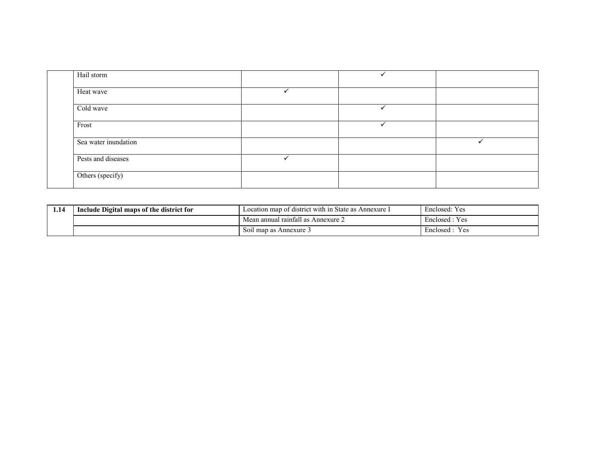| Hail storm           |  |  |
|----------------------|--|--|
| Heat wave            |  |  |
| Cold wave            |  |  |
| Frost                |  |  |
| Sea water inundation |  |  |
| Pests and diseases   |  |  |
| Others (specify)     |  |  |

| 1.14 | Include Digital maps of the district for | Location map of district with in State as Annexure I | Enclosed: Yes    |
|------|------------------------------------------|------------------------------------------------------|------------------|
|      |                                          | Mean annual rainfall as Annexure 2                   | Enclosed: Yes    |
|      |                                          | Soil map as Annexure 3                               | Enclosed<br>Y es |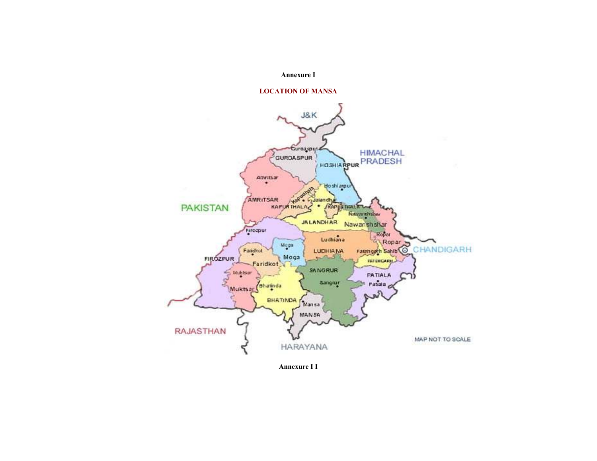#### Annexure I





Annexure I I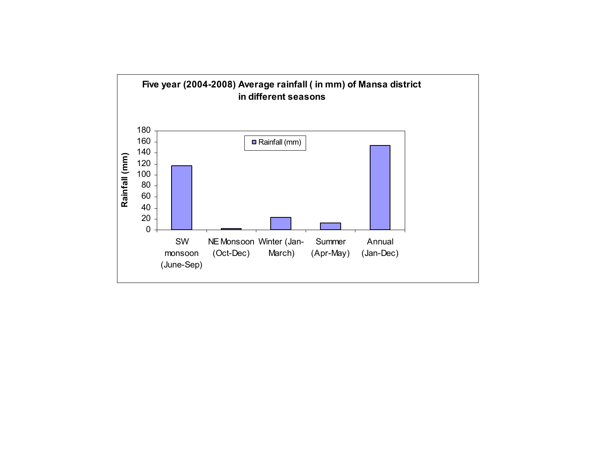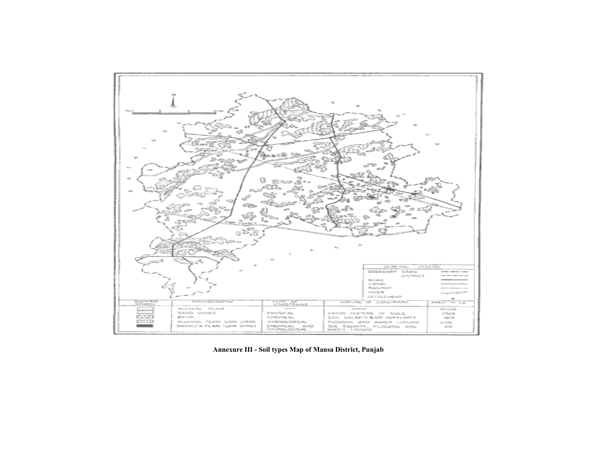

Annexure III - Soil types Map of Mansa District, Punjab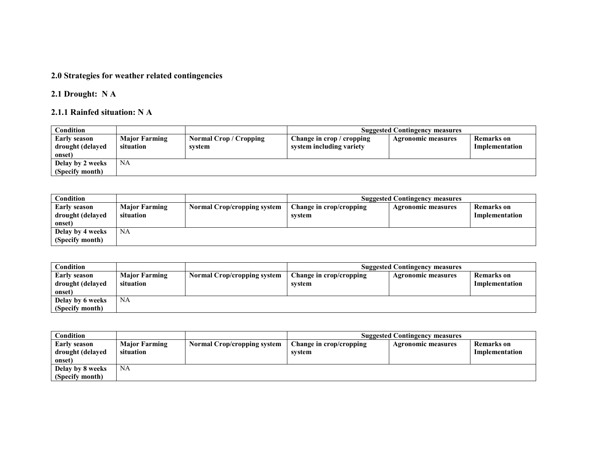#### 2.0 Strategies for weather related contingencies

### 2.1 Drought: N A

#### 2.1.1 Rainfed situation: N A

| Condition        |                      |                        |                           | <b>Suggested Contingency measures</b> |                |
|------------------|----------------------|------------------------|---------------------------|---------------------------------------|----------------|
| Early season     | <b>Major Farming</b> | Normal Crop / Cropping | Change in crop / cropping | <b>Agronomic measures</b>             | Remarks on     |
| drought (delayed | situation            | system                 | system including variety  |                                       | Implementation |
| onset)           |                      |                        |                           |                                       |                |
| Delay by 2 weeks | NA                   |                        |                           |                                       |                |
| (Specify month)  |                      |                        |                           |                                       |                |

| Condition        |                      |                                    |                         | <b>Suggested Contingency measures</b> |                |
|------------------|----------------------|------------------------------------|-------------------------|---------------------------------------|----------------|
| Early season     | <b>Major Farming</b> | <b>Normal Crop/cropping system</b> | Change in crop/cropping | <b>Agronomic measures</b>             | Remarks on     |
| drought (delayed | situation            |                                    | svstem                  |                                       | Implementation |
| onset)           |                      |                                    |                         |                                       |                |
| Delay by 4 weeks | NA                   |                                    |                         |                                       |                |
| (Specify month)  |                      |                                    |                         |                                       |                |

| Condition                                  |                                   |                                    |                                   | <b>Suggested Contingency measures</b> |                                     |
|--------------------------------------------|-----------------------------------|------------------------------------|-----------------------------------|---------------------------------------|-------------------------------------|
| Early season<br>drought (delayed<br>onset) | <b>Major Farming</b><br>situation | <b>Normal Crop/cropping system</b> | Change in crop/cropping<br>svstem | <b>Agronomic measures</b>             | <b>Remarks</b> on<br>Implementation |
| Delay by 6 weeks                           | NA                                |                                    |                                   |                                       |                                     |
| (Specify month)                            |                                   |                                    |                                   |                                       |                                     |

| Condition                                         |                                   |                                    |                                   | <b>Suggested Contingency measures</b> |                                     |
|---------------------------------------------------|-----------------------------------|------------------------------------|-----------------------------------|---------------------------------------|-------------------------------------|
| <b>Early season</b><br>drought (delayed<br>onset) | <b>Major Farming</b><br>situation | <b>Normal Crop/cropping system</b> | Change in crop/cropping<br>svstem | <b>Agronomic measures</b>             | <b>Remarks</b> on<br>Implementation |
| Delay by 8 weeks                                  | <b>NA</b>                         |                                    |                                   |                                       |                                     |
| (Specify month)                                   |                                   |                                    |                                   |                                       |                                     |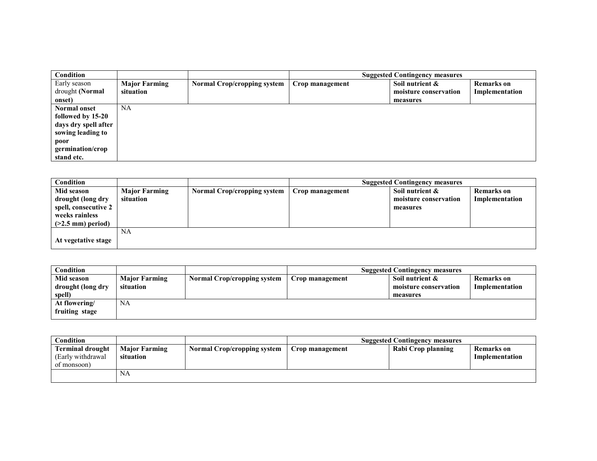| <b>Condition</b>     |                      |                                    |                 | <b>Suggested Contingency measures</b> |                   |
|----------------------|----------------------|------------------------------------|-----------------|---------------------------------------|-------------------|
| Early season         | <b>Major Farming</b> | <b>Normal Crop/cropping system</b> | Crop management | Soil nutrient &                       | <b>Remarks</b> on |
| drought (Normal      | situation            |                                    |                 | moisture conservation                 | Implementation    |
| onset)               |                      |                                    |                 | measures                              |                   |
| Normal onset         | <b>NA</b>            |                                    |                 |                                       |                   |
| followed by 15-20    |                      |                                    |                 |                                       |                   |
| days dry spell after |                      |                                    |                 |                                       |                   |
| sowing leading to    |                      |                                    |                 |                                       |                   |
| poor                 |                      |                                    |                 |                                       |                   |
| germination/crop     |                      |                                    |                 |                                       |                   |
| stand etc.           |                      |                                    |                 |                                       |                   |

| <b>Condition</b>                                                                                        |                                   |                                    |                 | <b>Suggested Contingency measures</b>                |                                     |
|---------------------------------------------------------------------------------------------------------|-----------------------------------|------------------------------------|-----------------|------------------------------------------------------|-------------------------------------|
| Mid season<br>drought (long dry<br>spell, consecutive 2<br>weeks rainless<br>$($ >2.5 mm $)$ period $)$ | <b>Major Farming</b><br>situation | <b>Normal Crop/cropping system</b> | Crop management | Soil nutrient &<br>moisture conservation<br>measures | <b>Remarks</b> on<br>Implementation |
| At vegetative stage                                                                                     | NA                                |                                    |                 |                                                      |                                     |

| Condition         |                      |                                    |                 | <b>Suggested Contingency measures</b> |                   |
|-------------------|----------------------|------------------------------------|-----------------|---------------------------------------|-------------------|
| Mid season        | <b>Major Farming</b> | <b>Normal Crop/cropping system</b> | Crop management | Soil nutrient &                       | <b>Remarks</b> on |
| drought (long dry | situation            |                                    |                 | moisture conservation                 | Implementation    |
| spell)            |                      |                                    |                 | measures                              |                   |
| At flowering/     | <b>NA</b>            |                                    |                 |                                       |                   |
| fruiting stage    |                      |                                    |                 |                                       |                   |

| Condition                                                    |                                   |                                    |                 | <b>Suggested Contingency measures</b> |                                     |
|--------------------------------------------------------------|-----------------------------------|------------------------------------|-----------------|---------------------------------------|-------------------------------------|
| <b>Terminal drought</b><br>(Early withdrawal)<br>of monsoon) | <b>Major Farming</b><br>situation | <b>Normal Crop/cropping system</b> | Crop management | Rabi Crop planning                    | <b>Remarks</b> on<br>Implementation |
|                                                              | <b>NA</b>                         |                                    |                 |                                       |                                     |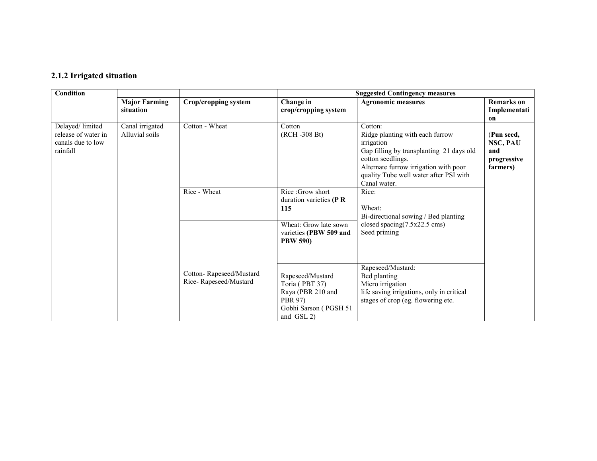#### 2.1.2 Irrigated situation

| <b>Condition</b>                                                        |                                   |                                                  | <b>Suggested Contingency measures</b>                                                                      |                                                                                                                                                                                                                              |                                                                |  |
|-------------------------------------------------------------------------|-----------------------------------|--------------------------------------------------|------------------------------------------------------------------------------------------------------------|------------------------------------------------------------------------------------------------------------------------------------------------------------------------------------------------------------------------------|----------------------------------------------------------------|--|
|                                                                         | <b>Major Farming</b>              | Crop/cropping system                             | Change in                                                                                                  | <b>Agronomic measures</b>                                                                                                                                                                                                    | <b>Remarks</b> on                                              |  |
|                                                                         | situation                         |                                                  | crop/cropping system                                                                                       |                                                                                                                                                                                                                              | Implementati                                                   |  |
| Delayed/limited<br>release of water in<br>canals due to low<br>rainfall | Canal irrigated<br>Alluvial soils | Cotton - Wheat                                   | Cotton<br>(RCH -308 Bt)                                                                                    | Cotton:<br>Ridge planting with each furrow<br>irrigation<br>Gap filling by transplanting 21 days old<br>cotton seedlings.<br>Alternate furrow irrigation with poor<br>quality Tube well water after PSI with<br>Canal water. | on<br>(Pun seed,<br>NSC, PAU<br>and<br>progressive<br>farmers) |  |
|                                                                         |                                   | Rice - Wheat                                     | Rice: Grow short<br>duration varieties ( $\bf{P} \bf{R}$<br>115                                            | Rice:<br>Wheat:<br>Bi-directional sowing / Bed planting                                                                                                                                                                      |                                                                |  |
|                                                                         |                                   |                                                  | Wheat: Grow late sown<br>varieties (PBW 509 and<br><b>PBW 590)</b>                                         | closed spacing $(7.5x22.5 \text{ cm})$<br>Seed priming                                                                                                                                                                       |                                                                |  |
|                                                                         |                                   | Cotton-Rapeseed/Mustard<br>Rice-Rapeseed/Mustard | Rapeseed/Mustard<br>Toria (PBT 37)<br>Raya (PBR 210 and<br>PBR 97)<br>Gobhi Sarson (PGSH 51)<br>and GSL 2) | Rapeseed/Mustard:<br>Bed planting<br>Micro irrigation<br>life saving irrigations, only in critical<br>stages of crop (eg. flowering etc.                                                                                     |                                                                |  |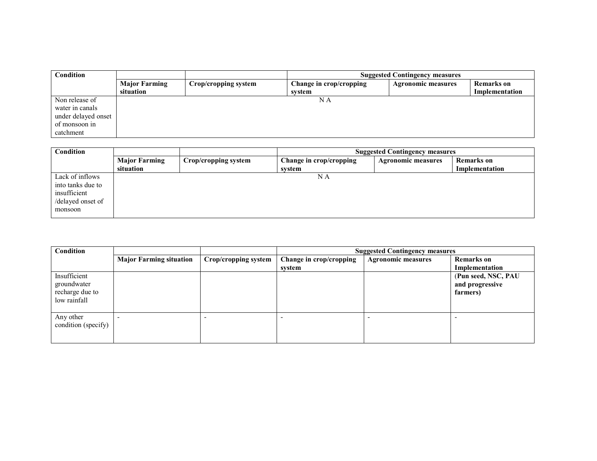| Condition           |                      |                      |                         | <b>Suggested Contingency measures</b> |                   |
|---------------------|----------------------|----------------------|-------------------------|---------------------------------------|-------------------|
|                     | <b>Major Farming</b> | Crop/cropping system | Change in crop/cropping | <b>Agronomic measures</b>             | <b>Remarks</b> on |
|                     | situation            |                      | svstem                  |                                       | Implementation    |
| Non release of      |                      |                      | N A                     |                                       |                   |
| water in canals     |                      |                      |                         |                                       |                   |
| under delayed onset |                      |                      |                         |                                       |                   |
| of monsoon in       |                      |                      |                         |                                       |                   |
| catchment           |                      |                      |                         |                                       |                   |

| <b>Condition</b>  |                      |                      | <b>Suggested Contingency measures</b> |                           |                   |  |
|-------------------|----------------------|----------------------|---------------------------------------|---------------------------|-------------------|--|
|                   | <b>Major Farming</b> | Crop/cropping system | Change in crop/cropping               | <b>Agronomic measures</b> | <b>Remarks</b> on |  |
|                   | situation            |                      | system                                |                           | Implementation    |  |
| Lack of inflows   |                      |                      | N A                                   |                           |                   |  |
| into tanks due to |                      |                      |                                       |                           |                   |  |
| insufficient      |                      |                      |                                       |                           |                   |  |
| /delayed onset of |                      |                      |                                       |                           |                   |  |
| monsoon           |                      |                      |                                       |                           |                   |  |
|                   |                      |                      |                                       |                           |                   |  |

| <b>Condition</b>                                               |                                |                      |                         | <b>Suggested Contingency measures</b> |                                                    |  |  |
|----------------------------------------------------------------|--------------------------------|----------------------|-------------------------|---------------------------------------|----------------------------------------------------|--|--|
|                                                                | <b>Major Farming situation</b> | Crop/cropping system | Change in crop/cropping | <b>Agronomic measures</b>             | <b>Remarks</b> on                                  |  |  |
|                                                                |                                |                      | svstem                  |                                       | Implementation                                     |  |  |
| Insufficient<br>groundwater<br>recharge due to<br>low rainfall |                                |                      |                         |                                       | (Pun seed, NSC, PAU<br>and progressive<br>farmers) |  |  |
| Any other<br>condition (specify)                               | -                              |                      |                         |                                       |                                                    |  |  |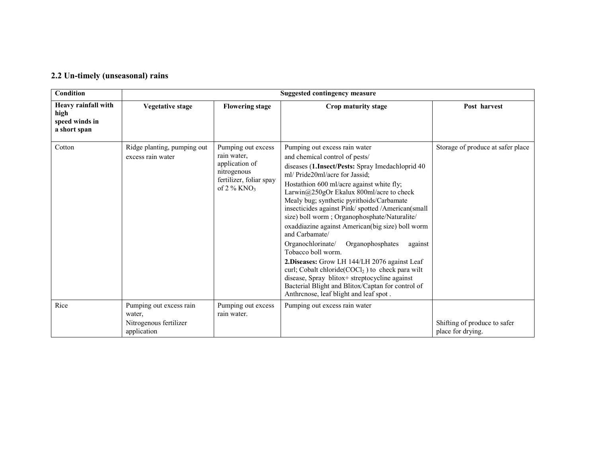#### 2.2 Un-timely (unseasonal) rains

| <b>Condition</b>                                              | <b>Suggested contingency measure</b>                                       |                                                                                                                            |                                                                                                                                                                                                                                                                                                                                                                                                                                                                                                                                                                                                                                                                                                                                                                                                         |                                                   |  |  |  |
|---------------------------------------------------------------|----------------------------------------------------------------------------|----------------------------------------------------------------------------------------------------------------------------|---------------------------------------------------------------------------------------------------------------------------------------------------------------------------------------------------------------------------------------------------------------------------------------------------------------------------------------------------------------------------------------------------------------------------------------------------------------------------------------------------------------------------------------------------------------------------------------------------------------------------------------------------------------------------------------------------------------------------------------------------------------------------------------------------------|---------------------------------------------------|--|--|--|
| Heavy rainfall with<br>high<br>speed winds in<br>a short span | <b>Vegetative stage</b>                                                    | <b>Flowering stage</b>                                                                                                     | Crop maturity stage                                                                                                                                                                                                                                                                                                                                                                                                                                                                                                                                                                                                                                                                                                                                                                                     | Post harvest                                      |  |  |  |
| Cotton                                                        | Ridge planting, pumping out<br>excess rain water                           | Pumping out excess<br>rain water.<br>application of<br>nitrogenous<br>fertilizer, foliar spay<br>of $2\%$ KNO <sub>3</sub> | Pumping out excess rain water<br>and chemical control of pests/<br>diseases (1.Insect/Pests: Spray Imedachloprid 40<br>ml/ Pride20ml/acre for Jassid;<br>Hostathion 600 ml/acre against white fly;<br>Larwin@250gOr Ekalux 800ml/acre to check<br>Mealy bug; synthetic pyrithoids/Carbamate<br>insecticides against Pink/spotted/American(small<br>size) boll worm; Organophosphate/Naturalite/<br>oxaddiazine against American(big size) boll worm<br>and Carbamate/<br>Organophosphates<br>Organochlorinate/<br>against<br>Tobacco boll worm.<br>2. Diseases: Grow LH 144/LH 2076 against Leaf<br>curl; Cobalt chloride( $COCl2$ ) to check para wilt<br>disease, Spray blitox+ streptocycline against<br>Bacterial Blight and Blitox/Captan for control of<br>Anthronose, leaf blight and leaf spot. | Storage of produce at safer place                 |  |  |  |
| Rice                                                          | Pumping out excess rain<br>water.<br>Nitrogenous fertilizer<br>application | Pumping out excess<br>rain water.                                                                                          | Pumping out excess rain water                                                                                                                                                                                                                                                                                                                                                                                                                                                                                                                                                                                                                                                                                                                                                                           | Shifting of produce to safer<br>place for drying. |  |  |  |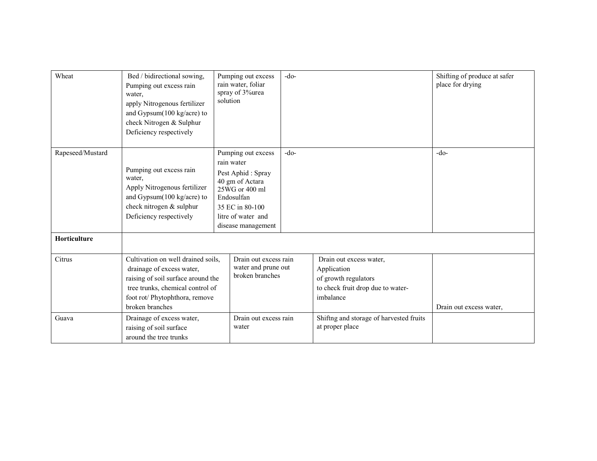| Wheat            | Bed / bidirectional sowing,<br>Pumping out excess rain<br>water,<br>apply Nitrogenous fertilizer<br>and Gypsum $(100 \text{ kg/acre})$ to<br>check Nitrogen & Sulphur<br>Deficiency respectively | Pumping out excess<br>rain water, foliar<br>spray of 3%urea<br>solution                                                                                                 | $-do-$ |                                                                                                                  | Shifting of produce at safer<br>place for drying |
|------------------|--------------------------------------------------------------------------------------------------------------------------------------------------------------------------------------------------|-------------------------------------------------------------------------------------------------------------------------------------------------------------------------|--------|------------------------------------------------------------------------------------------------------------------|--------------------------------------------------|
| Rapeseed/Mustard | Pumping out excess rain<br>water,<br>Apply Nitrogenous fertilizer<br>and Gypsum(100 kg/acre) to<br>check nitrogen & sulphur<br>Deficiency respectively                                           | Pumping out excess<br>rain water<br>Pest Aphid: Spray<br>40 gm of Actara<br>25WG or 400 ml<br>Endosulfan<br>35 EC in 80-100<br>litre of water and<br>disease management | $-do-$ |                                                                                                                  | $-do-$                                           |
| Horticulture     |                                                                                                                                                                                                  |                                                                                                                                                                         |        |                                                                                                                  |                                                  |
| Citrus           | Cultivation on well drained soils,<br>drainage of excess water,<br>raising of soil surface around the<br>tree trunks, chemical control of<br>foot rot/ Phytophthora, remove<br>broken branches   | Drain out excess rain<br>water and prune out<br>broken branches                                                                                                         |        | Drain out excess water,<br>Application<br>of growth regulators<br>to check fruit drop due to water-<br>imbalance | Drain out excess water,                          |
| Guava            | Drainage of excess water,<br>raising of soil surface<br>around the tree trunks                                                                                                                   | Drain out excess rain<br>water                                                                                                                                          |        | Shiftng and storage of harvested fruits<br>at proper place                                                       |                                                  |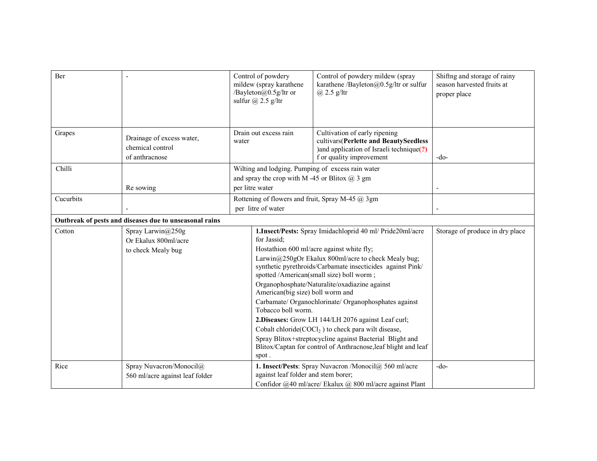| Ber       |                                                                 | Control of powdery<br>mildew (spray karathene<br>/Bayleton@0.5g/ltr or<br>sulfur $\omega$ 2.5 g/ltr                       | Control of powdery mildew (spray<br>karathene /Bayleton@0.5g/ltr or sulfur<br>$(a)$ 2.5 g/ltr                                                                                                                                                                                                                                                                                                                                                                                                                                                                                                                                   | Shiftng and storage of rainy<br>season harvested fruits at<br>proper place |
|-----------|-----------------------------------------------------------------|---------------------------------------------------------------------------------------------------------------------------|---------------------------------------------------------------------------------------------------------------------------------------------------------------------------------------------------------------------------------------------------------------------------------------------------------------------------------------------------------------------------------------------------------------------------------------------------------------------------------------------------------------------------------------------------------------------------------------------------------------------------------|----------------------------------------------------------------------------|
| Grapes    | Drainage of excess water,<br>chemical control<br>of anthracnose | Drain out excess rain<br>water                                                                                            | Cultivation of early ripening<br>cultivars(Perlette and BeautySeedless<br>) and application of Israeli technique(?)<br>f or quality improvement                                                                                                                                                                                                                                                                                                                                                                                                                                                                                 | $-do-$                                                                     |
| Chilli    | Re sowing                                                       | Wilting and lodging. Pumping of excess rain water<br>and spray the crop with M-45 or Blitox $(a)$ 3 gm<br>per litre water |                                                                                                                                                                                                                                                                                                                                                                                                                                                                                                                                                                                                                                 |                                                                            |
| Cucurbits |                                                                 | Rottening of flowers and fruit, Spray M-45 @ 3gm<br>per litre of water                                                    |                                                                                                                                                                                                                                                                                                                                                                                                                                                                                                                                                                                                                                 |                                                                            |
|           | Outbreak of pests and diseases due to unseasonal rains          |                                                                                                                           |                                                                                                                                                                                                                                                                                                                                                                                                                                                                                                                                                                                                                                 |                                                                            |
| Cotton    | Spray Larwin@250g<br>Or Ekalux 800ml/acre<br>to check Mealy bug | for Jassid;<br>American(big size) boll worm and<br>Tobacco boll worm.<br>spot.                                            | 1.Insect/Pests: Spray Imidachloprid 40 ml/ Pride20ml/acre<br>Hostathion 600 ml/acre against white fly;<br>Larwin@250gOr Ekalux 800ml/acre to check Mealy bug;<br>synthetic pyrethroids/Carbamate insecticides against Pink/<br>spotted /American(small size) boll worm;<br>Organophosphate/Naturalite/oxadiazine against<br>Carbamate/ Organochlorinate/ Organophosphates against<br>2. Diseases: Grow LH 144/LH 2076 against Leaf curl;<br>Cobalt chloride $(COCl2)$ to check para wilt disease,<br>Spray Blitox+streptocycline against Bacterial Blight and<br>Blitox/Captan for control of Anthracnose, leaf blight and leaf | Storage of produce in dry place                                            |
| Rice      | Spray Nuvacron/Monocil@<br>560 ml/acre against leaf folder      | against leaf folder and stem borer;                                                                                       | 1. Insect/Pests: Spray Nuvacron /Monocil@ 560 ml/acre<br>Confidor @40 ml/acre/ Ekalux @ 800 ml/acre against Plant                                                                                                                                                                                                                                                                                                                                                                                                                                                                                                               | $-do-$                                                                     |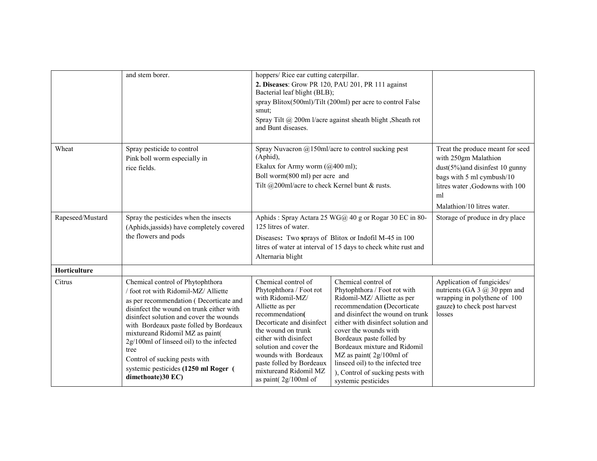|                  | and stem borer.                                                                                                                                                                                                                                                                                                                                                                                                                          | hoppers/Rice ear cutting caterpillar.<br>Bacterial leaf blight (BLB);<br>smut;<br>and Bunt diseases.                                                                                                                                                                                                                   | 2. Diseases: Grow PR 120, PAU 201, PR 111 against<br>spray Blitox(500ml)/Tilt (200ml) per acre to control False<br>Spray Tilt @ 200m l/acre against sheath blight, Sheath rot                                                                                                                                                                                                                               |                                                                                                                                                                                               |
|------------------|------------------------------------------------------------------------------------------------------------------------------------------------------------------------------------------------------------------------------------------------------------------------------------------------------------------------------------------------------------------------------------------------------------------------------------------|------------------------------------------------------------------------------------------------------------------------------------------------------------------------------------------------------------------------------------------------------------------------------------------------------------------------|-------------------------------------------------------------------------------------------------------------------------------------------------------------------------------------------------------------------------------------------------------------------------------------------------------------------------------------------------------------------------------------------------------------|-----------------------------------------------------------------------------------------------------------------------------------------------------------------------------------------------|
| Wheat            | Spray pesticide to control<br>Pink boll worm especially in<br>rice fields.                                                                                                                                                                                                                                                                                                                                                               | Spray Nuvacron $\omega$ 150ml/acre to control sucking pest<br>(Aphid),<br>Ekalux for Army worm $(a)400$ ml);<br>Boll worm(800 ml) per acre and<br>Tilt @200ml/acre to check Kernel bunt & rusts.                                                                                                                       |                                                                                                                                                                                                                                                                                                                                                                                                             | Treat the produce meant for seed<br>with 250gm Malathion<br>dust(5%)and disinfest 10 gunny<br>bags with 5 ml cymbush/10<br>litres water ,Godowns with 100<br>ml<br>Malathion/10 litres water. |
| Rapeseed/Mustard | Spray the pesticides when the insects<br>(Aphids, jassids) have completely covered<br>the flowers and pods                                                                                                                                                                                                                                                                                                                               | Aphids: Spray Actara 25 WG@ 40 g or Rogar 30 EC in 80-<br>125 litres of water.<br>Diseases: Two sprays of Blitox or Indofil M-45 in 100<br>litres of water at interval of 15 days to check white rust and<br>Alternaria blight                                                                                         |                                                                                                                                                                                                                                                                                                                                                                                                             | Storage of produce in dry place                                                                                                                                                               |
| Horticulture     |                                                                                                                                                                                                                                                                                                                                                                                                                                          |                                                                                                                                                                                                                                                                                                                        |                                                                                                                                                                                                                                                                                                                                                                                                             |                                                                                                                                                                                               |
| Citrus           | Chemical control of Phytophthora<br>/ foot rot with Ridomil-MZ/ Alliette<br>as per recommendation (Decorticate and<br>disinfect the wound on trunk either with<br>disinfect solution and cover the wounds<br>with Bordeaux paste folled by Bordeaux<br>mixtureand Ridomil MZ as paint(<br>2g/100ml of linseed oil) to the infected<br>tree<br>Control of sucking pests with<br>systemic pesticides (1250 ml Roger (<br>dimethoate)30 EC) | Chemical control of<br>Phytophthora / Foot rot<br>with Ridomil-MZ/<br>Alliette as per<br>recommendation(<br>Decorticate and disinfect<br>the wound on trunk<br>either with disinfect<br>solution and cover the<br>wounds with Bordeaux<br>paste folled by Bordeaux<br>mixtureand Ridomil MZ<br>as paint( $2g/100ml$ of | Chemical control of<br>Phytophthora / Foot rot with<br>Ridomil-MZ/ Alliette as per<br>recommendation (Decorticate<br>and disinfect the wound on trunk<br>either with disinfect solution and<br>cover the wounds with<br>Bordeaux paste folled by<br>Bordeaux mixture and Ridomil<br>MZ as paint(2g/100ml of<br>linseed oil) to the infected tree<br>), Control of sucking pests with<br>systemic pesticides | Application of fungicides/<br>nutrients (GA $3 \omega$ 30 ppm and<br>wrapping in polythene of 100<br>gauze) to check post harvest<br>losses                                                   |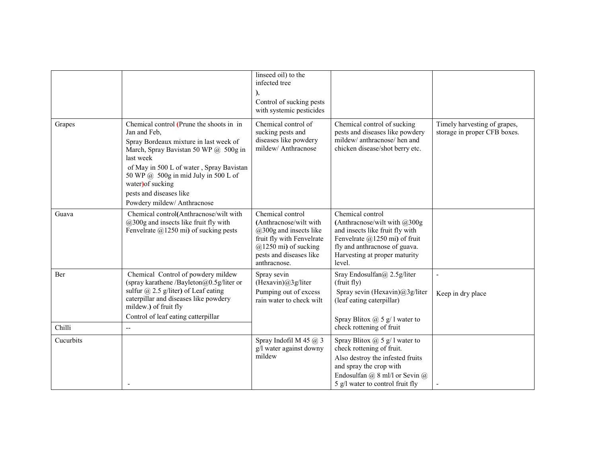|           |                                                                                                                                                                                                                                        | linseed oil) to the<br>infected tree                                                                                                                                        |                                                                                                                                                                                                    |                                                              |
|-----------|----------------------------------------------------------------------------------------------------------------------------------------------------------------------------------------------------------------------------------------|-----------------------------------------------------------------------------------------------------------------------------------------------------------------------------|----------------------------------------------------------------------------------------------------------------------------------------------------------------------------------------------------|--------------------------------------------------------------|
|           |                                                                                                                                                                                                                                        |                                                                                                                                                                             |                                                                                                                                                                                                    |                                                              |
|           |                                                                                                                                                                                                                                        |                                                                                                                                                                             |                                                                                                                                                                                                    |                                                              |
|           |                                                                                                                                                                                                                                        | Control of sucking pests                                                                                                                                                    |                                                                                                                                                                                                    |                                                              |
|           |                                                                                                                                                                                                                                        | with systemic pesticides                                                                                                                                                    |                                                                                                                                                                                                    |                                                              |
| Grapes    | Chemical control (Prune the shoots in in<br>Jan and Feb,                                                                                                                                                                               | Chemical control of<br>sucking pests and                                                                                                                                    | Chemical control of sucking<br>pests and diseases like powdery                                                                                                                                     | Timely harvesting of grapes,<br>storage in proper CFB boxes. |
|           | Spray Bordeaux mixture in last week of<br>March, Spray Bavistan 50 WP @ 500g in<br>last week                                                                                                                                           | diseases like powdery<br>mildew/ Anthracnose                                                                                                                                | mildew/ anthracnose/ hen and<br>chicken disease/shot berry etc.                                                                                                                                    |                                                              |
|           | of May in 500 L of water, Spray Bavistan<br>50 WP @ 500g in mid July in 500 L of<br>water) of sucking                                                                                                                                  |                                                                                                                                                                             |                                                                                                                                                                                                    |                                                              |
|           | pests and diseases like<br>Powdery mildew/ Anthracnose                                                                                                                                                                                 |                                                                                                                                                                             |                                                                                                                                                                                                    |                                                              |
| Guava     | Chemical control(Anthracnose/wilt with<br>$(a)300g$ and insects like fruit fly with<br>Fenvelrate $(a)$ 1250 mi) of sucking pests                                                                                                      | Chemical control<br>(Anthracnose/wilt with<br>$@300g$ and insects like<br>fruit fly with Fenvelrate<br>$(a)$ 1250 mi) of sucking<br>pests and diseases like<br>anthracnose. | Chemical control<br>(Anthracnose/wilt with $@300g$<br>and insects like fruit fly with<br>Fenvelrate @1250 mi) of fruit<br>fly and anthracnose of guava.<br>Harvesting at proper maturity<br>level. |                                                              |
| Ber       | Chemical Control of powdery mildew<br>(spray karathene /Bayleton@0.5g/liter or<br>sulfur $\omega$ 2.5 g/liter) of Leaf eating<br>caterpillar and diseases like powdery<br>mildew.) of fruit fly<br>Control of leaf eating catterpillar | Spray sevin<br>(Hexavin)@3g/liter<br>Pumping out of excess<br>rain water to check wilt                                                                                      | Sray Endosulfan@ 2.5g/liter<br>(fruit fly)<br>Spray sevin (Hexavin)@3g/liter<br>(leaf eating caterpillar)<br>Spray Blitox $(a)$ 5 g/ 1 water to                                                    | Keep in dry place                                            |
| Chilli    | $\overline{\phantom{a}}$                                                                                                                                                                                                               |                                                                                                                                                                             | check rottening of fruit                                                                                                                                                                           |                                                              |
| Cucurbits |                                                                                                                                                                                                                                        | Spray Indofil M 45 $@$ 3<br>g/l water against downy<br>mildew                                                                                                               | Spray Blitox $\omega$ 5 g/ 1 water to<br>check rottening of fruit.<br>Also destroy the infested fruits                                                                                             |                                                              |
|           |                                                                                                                                                                                                                                        |                                                                                                                                                                             | and spray the crop with                                                                                                                                                                            |                                                              |
|           |                                                                                                                                                                                                                                        |                                                                                                                                                                             | Endosulfan $(a)$ 8 ml/l or Sevin $(a)$                                                                                                                                                             |                                                              |
|           |                                                                                                                                                                                                                                        |                                                                                                                                                                             | 5 g/l water to control fruit fly                                                                                                                                                                   |                                                              |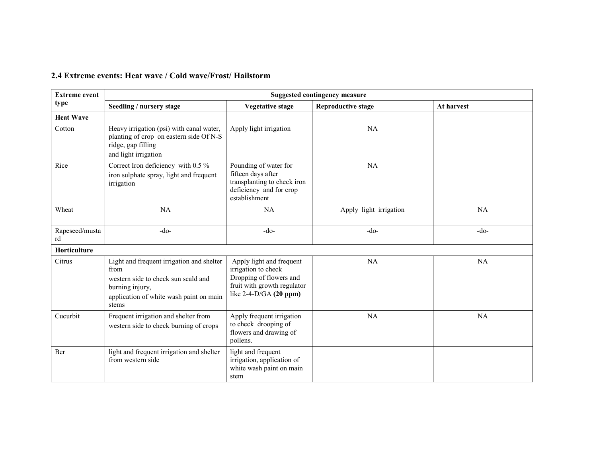#### 2.4 Extreme events: Heat wave / Cold wave/Frost/ Hailstorm

| <b>Extreme event</b> | <b>Suggested contingency measure</b>                                                                                                                            |                                                                                                                                       |                           |            |  |  |
|----------------------|-----------------------------------------------------------------------------------------------------------------------------------------------------------------|---------------------------------------------------------------------------------------------------------------------------------------|---------------------------|------------|--|--|
| type                 | Seedling / nursery stage                                                                                                                                        | <b>Vegetative stage</b>                                                                                                               | <b>Reproductive stage</b> | At harvest |  |  |
| <b>Heat Wave</b>     |                                                                                                                                                                 |                                                                                                                                       |                           |            |  |  |
| Cotton               | Heavy irrigation (psi) with canal water,<br>planting of crop on eastern side Of N-S<br>ridge, gap filling<br>and light irrigation                               | Apply light irrigation                                                                                                                | NA                        |            |  |  |
| Rice                 | Correct Iron deficiency with 0.5 %<br>iron sulphate spray, light and frequent<br>irrigation                                                                     | Pounding of water for<br>fifteen days after<br>transplanting to check iron<br>deficiency and for crop<br>establishment                | NA                        |            |  |  |
| Wheat                | NA                                                                                                                                                              | NA                                                                                                                                    | Apply light irrigation    | <b>NA</b>  |  |  |
| Rapeseed/musta<br>rd | $-do-$                                                                                                                                                          | $-do-$                                                                                                                                | $-do-$                    | $-do-$     |  |  |
| Horticulture         |                                                                                                                                                                 |                                                                                                                                       |                           |            |  |  |
| Citrus               | Light and frequent irrigation and shelter<br>from<br>western side to check sun scald and<br>burning injury,<br>application of white wash paint on main<br>stems | Apply light and frequent<br>irrigation to check<br>Dropping of flowers and<br>fruit with growth regulator<br>like $2-4-D/GA$ (20 ppm) | NA                        | <b>NA</b>  |  |  |
| Cucurbit             | Frequent irrigation and shelter from<br>western side to check burning of crops                                                                                  | Apply frequent irrigation<br>to check drooping of<br>flowers and drawing of<br>pollens.                                               | NA                        | <b>NA</b>  |  |  |
| Ber                  | light and frequent irrigation and shelter<br>from western side                                                                                                  | light and frequent<br>irrigation, application of<br>white wash paint on main<br>stem                                                  |                           |            |  |  |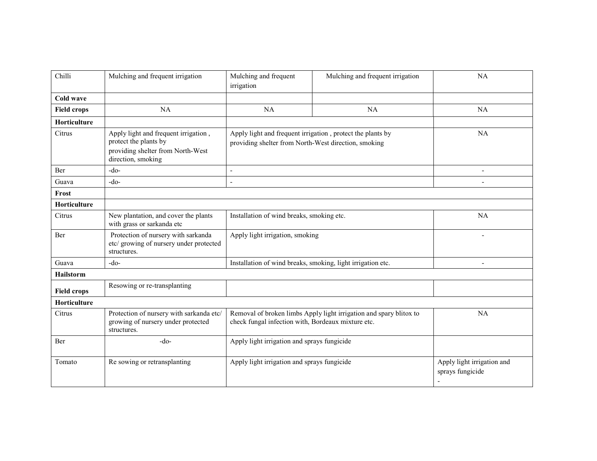| Chilli              | Mulching and frequent irrigation                                                                                         | Mulching and frequent<br>irrigation                                                                                      | Mulching and frequent irrigation | <b>NA</b>                                            |
|---------------------|--------------------------------------------------------------------------------------------------------------------------|--------------------------------------------------------------------------------------------------------------------------|----------------------------------|------------------------------------------------------|
| <b>Cold wave</b>    |                                                                                                                          |                                                                                                                          |                                  |                                                      |
| <b>Field crops</b>  | <b>NA</b>                                                                                                                | NA                                                                                                                       | NA                               | NA                                                   |
| Horticulture        |                                                                                                                          |                                                                                                                          |                                  |                                                      |
| Citrus              | Apply light and frequent irrigation,<br>protect the plants by<br>providing shelter from North-West<br>direction, smoking | Apply light and frequent irrigation, protect the plants by<br>providing shelter from North-West direction, smoking       |                                  | <b>NA</b>                                            |
| Ber                 | $-do-$                                                                                                                   | L,                                                                                                                       |                                  |                                                      |
| Guava               | $-do-$                                                                                                                   | $\overline{a}$                                                                                                           |                                  |                                                      |
| Frost               |                                                                                                                          |                                                                                                                          |                                  |                                                      |
| Horticulture        |                                                                                                                          |                                                                                                                          |                                  |                                                      |
| Citrus              | New plantation, and cover the plants<br>with grass or sarkanda etc                                                       | Installation of wind breaks, smoking etc.                                                                                |                                  | <b>NA</b>                                            |
| Ber                 | Protection of nursery with sarkanda<br>etc/ growing of nursery under protected<br>structures.                            | Apply light irrigation, smoking                                                                                          |                                  |                                                      |
| Guava               | $-do-$                                                                                                                   | Installation of wind breaks, smoking, light irrigation etc.                                                              |                                  | ÷,                                                   |
| <b>Hailstorm</b>    |                                                                                                                          |                                                                                                                          |                                  |                                                      |
| <b>Field crops</b>  | Resowing or re-transplanting                                                                                             |                                                                                                                          |                                  |                                                      |
| <b>Horticulture</b> |                                                                                                                          |                                                                                                                          |                                  |                                                      |
| Citrus              | Protection of nursery with sarkanda etc/<br>growing of nursery under protected<br>structures.                            | Removal of broken limbs Apply light irrigation and spary blitox to<br>check fungal infection with, Bordeaux mixture etc. |                                  | <b>NA</b>                                            |
| Ber                 | $-do-$                                                                                                                   | Apply light irrigation and sprays fungicide                                                                              |                                  |                                                      |
| Tomato              | Re sowing or retransplanting                                                                                             | Apply light irrigation and sprays fungicide                                                                              |                                  | Apply light irrigation and<br>sprays fungicide<br>÷, |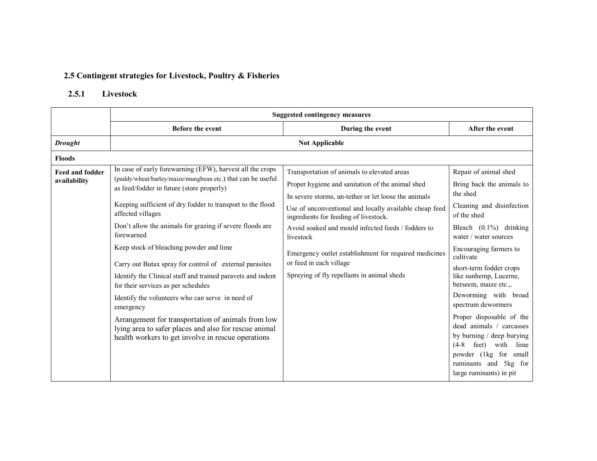## 2.5 Contingent strategies for Livestock, Poultry & Fisheries

### 2.5.1 Livestock

|                                        | <b>Suggested contingency measures</b>                                                                                                                                                                                                                                                                                                                                                                                                                                                                                                                                                                                                                                                                                                                                                |                                                                                                                                                                                                                                                                                                                                                                                                                                                                 |                                                                                                                                                                                                                                                                                                                                                                                                                                                                                                                                           |  |  |
|----------------------------------------|--------------------------------------------------------------------------------------------------------------------------------------------------------------------------------------------------------------------------------------------------------------------------------------------------------------------------------------------------------------------------------------------------------------------------------------------------------------------------------------------------------------------------------------------------------------------------------------------------------------------------------------------------------------------------------------------------------------------------------------------------------------------------------------|-----------------------------------------------------------------------------------------------------------------------------------------------------------------------------------------------------------------------------------------------------------------------------------------------------------------------------------------------------------------------------------------------------------------------------------------------------------------|-------------------------------------------------------------------------------------------------------------------------------------------------------------------------------------------------------------------------------------------------------------------------------------------------------------------------------------------------------------------------------------------------------------------------------------------------------------------------------------------------------------------------------------------|--|--|
|                                        | <b>Before the event</b>                                                                                                                                                                                                                                                                                                                                                                                                                                                                                                                                                                                                                                                                                                                                                              | During the event                                                                                                                                                                                                                                                                                                                                                                                                                                                | After the event                                                                                                                                                                                                                                                                                                                                                                                                                                                                                                                           |  |  |
| <b>Drought</b>                         |                                                                                                                                                                                                                                                                                                                                                                                                                                                                                                                                                                                                                                                                                                                                                                                      | <b>Not Applicable</b>                                                                                                                                                                                                                                                                                                                                                                                                                                           |                                                                                                                                                                                                                                                                                                                                                                                                                                                                                                                                           |  |  |
| <b>Floods</b>                          |                                                                                                                                                                                                                                                                                                                                                                                                                                                                                                                                                                                                                                                                                                                                                                                      |                                                                                                                                                                                                                                                                                                                                                                                                                                                                 |                                                                                                                                                                                                                                                                                                                                                                                                                                                                                                                                           |  |  |
| <b>Feed and fodder</b><br>availability | In case of early forewarning (EFW), harvest all the crops<br>(paddy/wheat/barley/maize/mungbean etc.) that can be useful<br>as feed/fodder in future (store properly)<br>Keeping sufficient of dry fodder to transport to the flood<br>affected villages<br>Don't allow the animals for grazing if severe floods are<br>forewarned<br>Keep stock of bleaching powder and lime<br>Carry out Butax spray for control of external parasites<br>Identify the Clinical staff and trained paravets and indent<br>for their services as per schedules<br>Identify the volunteers who can serve in need of<br>emergency<br>Arrangement for transportation of animals from low<br>lying area to safer places and also for rescue animal<br>health workers to get involve in rescue operations | Transportation of animals to elevated areas<br>Proper hygiene and sanitation of the animal shed<br>In severe storms, un-tether or let loose the animals<br>Use of unconventional and locally available cheap feed<br>ingredients for feeding of livestock.<br>Avoid soaked and mould infected feeds / fodders to<br>livestock<br>Emergency outlet establishment for required medicines<br>or feed in each village<br>Spraying of fly repellants in animal sheds | Repair of animal shed<br>Bring back the animals to<br>the shed<br>Cleaning and disinfection<br>of the shed<br>Bleach $(0.1\%)$ drinking<br>water / water sources<br>Encouraging farmers to<br>cultivate<br>short-term fodder crops<br>like sunhemp, Lucerne,<br>berseem, maize etc.,.<br>Deworming with broad<br>spectrum dewormers<br>Proper disposable of the<br>dead animals / carcasses<br>by burning / deep burying<br>$(4-8)$<br>feet)<br>with<br>lime<br>powder (1kg for small<br>ruminants and 5kg for<br>large ruminants) in pit |  |  |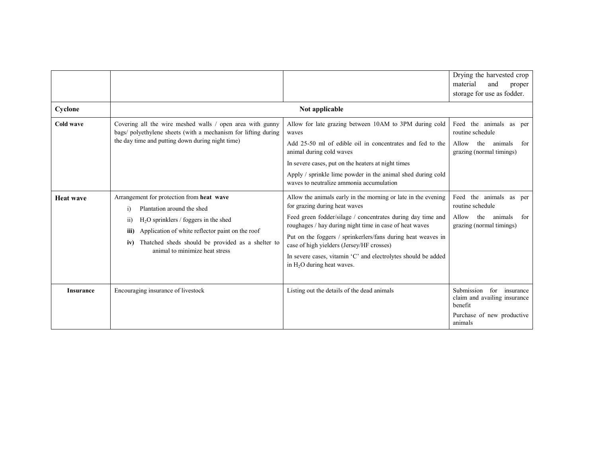|                  |                                                                                                                                                                                                                                                                                                 |                                                                                                                                                                                                                                                                                                                                                                                                                                        | Drying the harvested crop<br>material<br>and<br>proper<br>storage for use as fodder.                         |
|------------------|-------------------------------------------------------------------------------------------------------------------------------------------------------------------------------------------------------------------------------------------------------------------------------------------------|----------------------------------------------------------------------------------------------------------------------------------------------------------------------------------------------------------------------------------------------------------------------------------------------------------------------------------------------------------------------------------------------------------------------------------------|--------------------------------------------------------------------------------------------------------------|
| Cyclone          |                                                                                                                                                                                                                                                                                                 | Not applicable                                                                                                                                                                                                                                                                                                                                                                                                                         |                                                                                                              |
| Cold wave        | Covering all the wire meshed walls / open area with gunny<br>bags/ polyethylene sheets (with a mechanism for lifting during<br>the day time and putting down during night time)                                                                                                                 | Allow for late grazing between 10AM to 3PM during cold<br>waves<br>Add 25-50 ml of edible oil in concentrates and fed to the<br>animal during cold waves<br>In severe cases, put on the heaters at night times<br>Apply / sprinkle lime powder in the animal shed during cold<br>waves to neutralize ammonia accumulation                                                                                                              | Feed the animals as per<br>routine schedule<br>Allow the<br>animals<br>for<br>grazing (normal timings)       |
| <b>Heat wave</b> | Arrangement for protection from heat wave<br>Plantation around the shed<br>$\bf{1)}$<br>$H2O$ sprinklers / foggers in the shed<br>11)<br>Application of white reflector paint on the roof<br>iii)<br>Thatched sheds should be provided as a shelter to<br>iv)<br>animal to minimize heat stress | Allow the animals early in the morning or late in the evening<br>for grazing during heat waves<br>Feed green fodder/silage / concentrates during day time and<br>roughages / hay during night time in case of heat waves<br>Put on the foggers / sprinkerlers/fans during heat weaves in<br>case of high yielders (Jersey/HF crosses)<br>In severe cases, vitamin 'C' and electrolytes should be added<br>in $H_2O$ during heat waves. | Feed the animals as per<br>routine schedule<br>Allow<br>the<br>animals<br>for<br>grazing (normal timings)    |
| <b>Insurance</b> | Encouraging insurance of livestock                                                                                                                                                                                                                                                              | Listing out the details of the dead animals                                                                                                                                                                                                                                                                                                                                                                                            | Submission for insurance<br>claim and availing insurance<br>benefit<br>Purchase of new productive<br>animals |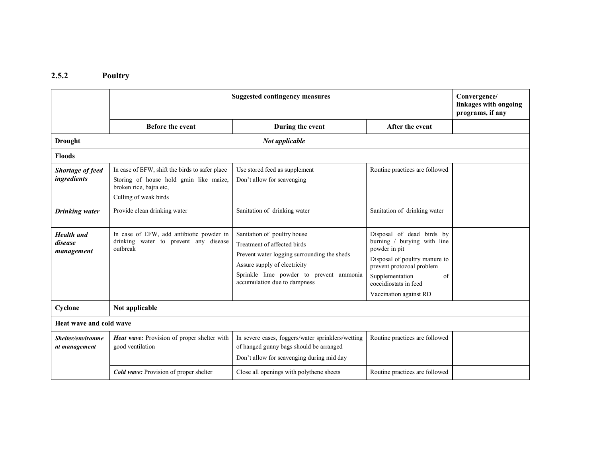#### 2.5.2 Poultry

|                                            | <b>Suggested contingency measures</b>                                                                                                         | Convergence/<br>linkages with ongoing<br>programs, if any                                                                                                                                                            |                                                                                                                                                                                                                     |  |  |  |
|--------------------------------------------|-----------------------------------------------------------------------------------------------------------------------------------------------|----------------------------------------------------------------------------------------------------------------------------------------------------------------------------------------------------------------------|---------------------------------------------------------------------------------------------------------------------------------------------------------------------------------------------------------------------|--|--|--|
|                                            | <b>Before the event</b>                                                                                                                       | During the event                                                                                                                                                                                                     | After the event                                                                                                                                                                                                     |  |  |  |
| <b>Drought</b>                             |                                                                                                                                               | Not applicable                                                                                                                                                                                                       |                                                                                                                                                                                                                     |  |  |  |
| <b>Floods</b>                              |                                                                                                                                               |                                                                                                                                                                                                                      |                                                                                                                                                                                                                     |  |  |  |
| Shortage of feed<br>ingredients            | In case of EFW, shift the birds to safer place<br>Storing of house hold grain like maize,<br>broken rice, bajra etc,<br>Culling of weak birds | Use stored feed as supplement<br>Don't allow for scavenging                                                                                                                                                          | Routine practices are followed                                                                                                                                                                                      |  |  |  |
| <b>Drinking</b> water                      | Provide clean drinking water                                                                                                                  | Sanitation of drinking water                                                                                                                                                                                         | Sanitation of drinking water                                                                                                                                                                                        |  |  |  |
| <b>Health</b> and<br>disease<br>management | In case of EFW, add antibiotic powder in<br>drinking water to prevent any disease<br>outbreak                                                 | Sanitation of poultry house<br>Treatment of affected birds<br>Prevent water logging surrounding the sheds<br>Assure supply of electricity<br>Sprinkle lime powder to prevent ammonia<br>accumulation due to dampness | Disposal of dead birds by<br>burning / burying with line<br>powder in pit<br>Disposal of poultry manure to<br>prevent protozoal problem<br>Supplementation<br>οf<br>coccidiostats in feed<br>Vaccination against RD |  |  |  |
| Cyclone                                    | Not applicable                                                                                                                                |                                                                                                                                                                                                                      |                                                                                                                                                                                                                     |  |  |  |
| Heat wave and cold wave                    |                                                                                                                                               |                                                                                                                                                                                                                      |                                                                                                                                                                                                                     |  |  |  |
| Shelter/environme<br>nt management         | Heat wave: Provision of proper shelter with<br>good ventilation                                                                               | In severe cases, foggers/water sprinklers/wetting<br>of hanged gunny bags should be arranged<br>Don't allow for scavenging during mid day                                                                            | Routine practices are followed                                                                                                                                                                                      |  |  |  |
|                                            | <b>Cold wave:</b> Provision of proper shelter                                                                                                 | Close all openings with polythene sheets                                                                                                                                                                             | Routine practices are followed                                                                                                                                                                                      |  |  |  |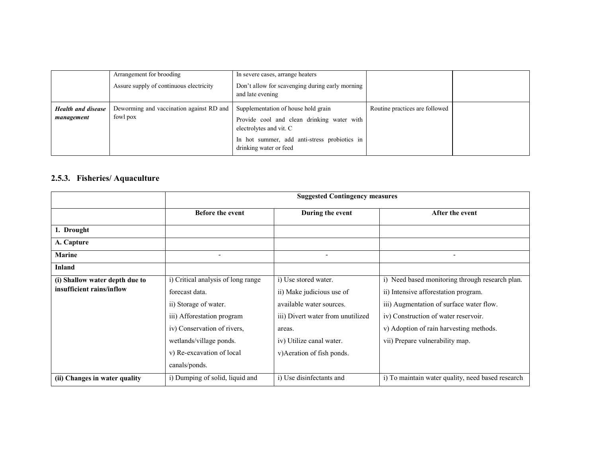|                                         | Arrangement for brooding<br>Assure supply of continuous electricity | In severe cases, arrange heaters<br>Don't allow for scavenging during early morning<br>and late evening                                                                                |                                |  |
|-----------------------------------------|---------------------------------------------------------------------|----------------------------------------------------------------------------------------------------------------------------------------------------------------------------------------|--------------------------------|--|
| <b>Health and disease</b><br>management | Deworming and vaccination against RD and<br>fowl pox                | Supplementation of house hold grain<br>Provide cool and clean drinking water with<br>electrolytes and vit. C<br>In hot summer, add anti-stress probiotics in<br>drinking water or feed | Routine practices are followed |  |

#### 2.5.3. Fisheries/ Aquaculture

|                                | <b>Suggested Contingency measures</b> |                                   |                                                   |  |
|--------------------------------|---------------------------------------|-----------------------------------|---------------------------------------------------|--|
|                                | <b>Before the event</b>               | During the event                  | After the event                                   |  |
| 1. Drought                     |                                       |                                   |                                                   |  |
| A. Capture                     |                                       |                                   |                                                   |  |
| <b>Marine</b>                  | $\overline{\phantom{a}}$              | $\overline{\phantom{a}}$          | -                                                 |  |
| <b>Inland</b>                  |                                       |                                   |                                                   |  |
| (i) Shallow water depth due to | i) Critical analysis of long range    | i) Use stored water.              | i) Need based monitoring through research plan.   |  |
| insufficient rains/inflow      | forecast data.                        | ii) Make judicious use of         | ii) Intensive afforestation program.              |  |
|                                | ii) Storage of water.                 | available water sources.          | iii) Augmentation of surface water flow.          |  |
|                                | iii) Afforestation program            | iii) Divert water from unutilized | iv) Construction of water reservoir.              |  |
|                                | iv) Conservation of rivers,           | areas.                            | v) Adoption of rain harvesting methods.           |  |
|                                | wetlands/village ponds.               | iv) Utilize canal water.          | vii) Prepare vulnerability map.                   |  |
|                                | v) Re-excavation of local             | v) Aeration of fish ponds.        |                                                   |  |
|                                | canals/ponds.                         |                                   |                                                   |  |
| (ii) Changes in water quality  | i) Dumping of solid, liquid and       | i) Use disinfectants and          | i) To maintain water quality, need based research |  |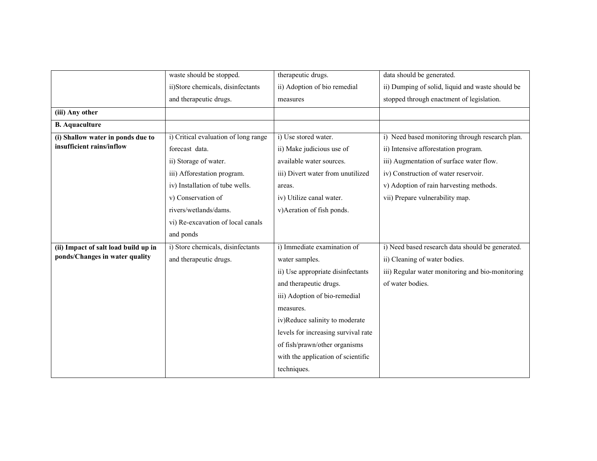|                                      | waste should be stopped.             | therapeutic drugs.                  | data should be generated.                        |
|--------------------------------------|--------------------------------------|-------------------------------------|--------------------------------------------------|
|                                      | ii)Store chemicals, disinfectants    | ii) Adoption of bio remedial        | ii) Dumping of solid, liquid and waste should be |
|                                      | and therapeutic drugs.               | measures                            | stopped through enactment of legislation.        |
| (iii) Any other                      |                                      |                                     |                                                  |
| <b>B.</b> Aquaculture                |                                      |                                     |                                                  |
| (i) Shallow water in ponds due to    | i) Critical evaluation of long range | i) Use stored water.                | i) Need based monitoring through research plan.  |
| insufficient rains/inflow            | forecast data.                       | ii) Make judicious use of           | ii) Intensive afforestation program.             |
|                                      | ii) Storage of water.                | available water sources.            | iii) Augmentation of surface water flow.         |
|                                      | iii) Afforestation program.          | iii) Divert water from unutilized   | iv) Construction of water reservoir.             |
|                                      | iv) Installation of tube wells.      | areas.                              | v) Adoption of rain harvesting methods.          |
|                                      | v) Conservation of                   | iv) Utilize canal water.            | vii) Prepare vulnerability map.                  |
|                                      | rivers/wetlands/dams.                | v)Aeration of fish ponds.           |                                                  |
|                                      | vi) Re-excavation of local canals    |                                     |                                                  |
|                                      | and ponds                            |                                     |                                                  |
| (ii) Impact of salt load build up in | i) Store chemicals, disinfectants    | i) Immediate examination of         | i) Need based research data should be generated. |
| ponds/Changes in water quality       | and therapeutic drugs.               | water samples.                      | ii) Cleaning of water bodies.                    |
|                                      |                                      | ii) Use appropriate disinfectants   | iii) Regular water monitoring and bio-monitoring |
|                                      |                                      | and therapeutic drugs.              | of water bodies.                                 |
|                                      |                                      | iii) Adoption of bio-remedial       |                                                  |
|                                      |                                      | measures.                           |                                                  |
|                                      |                                      | iv)Reduce salinity to moderate      |                                                  |
|                                      |                                      | levels for increasing survival rate |                                                  |
|                                      |                                      | of fish/prawn/other organisms       |                                                  |
|                                      |                                      | with the application of scientific  |                                                  |
|                                      |                                      | techniques.                         |                                                  |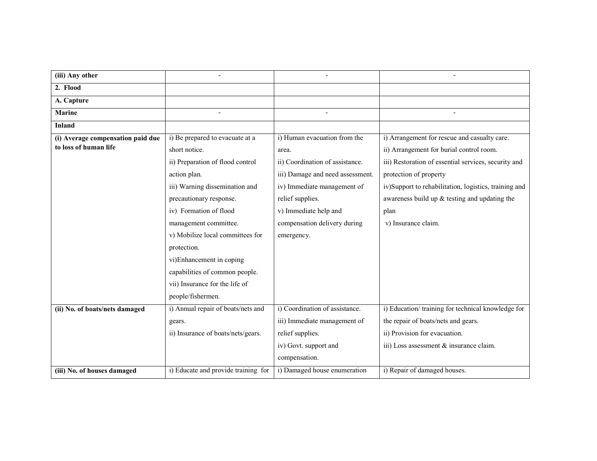| (iii) Any other                   |                                     |                                  |                                                       |
|-----------------------------------|-------------------------------------|----------------------------------|-------------------------------------------------------|
| 2. Flood                          |                                     |                                  |                                                       |
| A. Capture                        |                                     |                                  |                                                       |
| <b>Marine</b>                     |                                     |                                  |                                                       |
| <b>Inland</b>                     |                                     |                                  |                                                       |
| (i) Average compensation paid due | i) Be prepared to evacuate at a     | i) Human evacuation from the     | i) Arrangement for rescue and casualty care.          |
| to loss of human life             | short notice.                       | area.                            | ii) Arrangement for burial control room.              |
|                                   | ii) Preparation of flood control    | ii) Coordination of assistance.  | iii) Restoration of essential services, security and  |
|                                   | action plan.                        | iii) Damage and need assessment. | protection of property                                |
|                                   | iii) Warning dissemination and      | iv) Immediate management of      | iv)Support to rehabilitation, logistics, training and |
|                                   | precautionary response.             | relief supplies.                 | awareness build up $&$ testing and updating the       |
|                                   | iv) Formation of flood              | v) Immediate help and            | plan                                                  |
|                                   | management committee.               | compensation delivery during     | v) Insurance claim.                                   |
|                                   | v) Mobilize local committees for    | emergency.                       |                                                       |
|                                   | protection.                         |                                  |                                                       |
|                                   | vi)Enhancement in coping            |                                  |                                                       |
|                                   | capabilities of common people.      |                                  |                                                       |
|                                   | vii) Insurance for the life of      |                                  |                                                       |
|                                   | people/fishermen.                   |                                  |                                                       |
| (ii) No. of boats/nets damaged    | i) Annual repair of boats/nets and  | i) Coordination of assistance.   | i) Education/training for technical knowledge for     |
|                                   | gears.                              | iii) Immediate management of     | the repair of boats/nets and gears.                   |
|                                   | ii) Insurance of boats/nets/gears.  | relief supplies.                 | ii) Provision for evacuation.                         |
|                                   |                                     | iv) Govt. support and            | iii) Loss assessment & insurance claim.               |
|                                   |                                     | compensation.                    |                                                       |
| (iii) No. of houses damaged       | i) Educate and provide training for | i) Damaged house enumeration     | i) Repair of damaged houses.                          |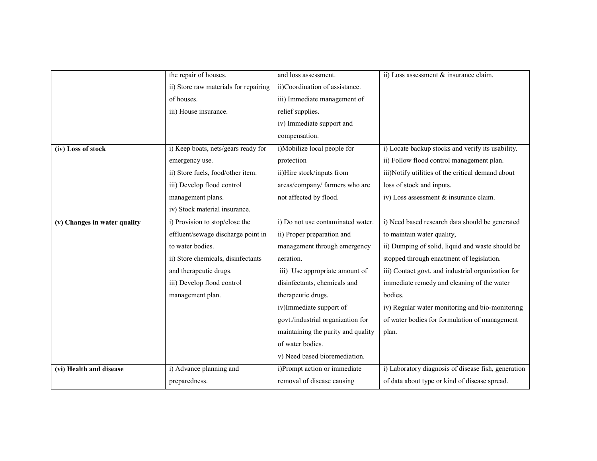|                              | the repair of houses.                 | and loss assessment.               | ii) Loss assessment & insurance claim.              |
|------------------------------|---------------------------------------|------------------------------------|-----------------------------------------------------|
|                              | ii) Store raw materials for repairing | ii)Coordination of assistance.     |                                                     |
|                              | of houses.                            | iii) Immediate management of       |                                                     |
|                              | iii) House insurance.                 | relief supplies.                   |                                                     |
|                              |                                       | iv) Immediate support and          |                                                     |
|                              |                                       | compensation.                      |                                                     |
| (iv) Loss of stock           | i) Keep boats, nets/gears ready for   | i)Mobilize local people for        | i) Locate backup stocks and verify its usability.   |
|                              | emergency use.                        | protection                         | ii) Follow flood control management plan.           |
|                              | ii) Store fuels, food/other item.     | ii)Hire stock/inputs from          | iii)Notify utilities of the critical demand about   |
|                              | iii) Develop flood control            | areas/company/ farmers who are     | loss of stock and inputs.                           |
|                              | management plans.                     | not affected by flood.             | iv) Loss assessment & insurance claim.              |
|                              | iv) Stock material insurance.         |                                    |                                                     |
| (v) Changes in water quality | i) Provision to stop/close the        | i) Do not use contaminated water.  | i) Need based research data should be generated     |
|                              | effluent/sewage discharge point in    | ii) Proper preparation and         | to maintain water quality,                          |
|                              | to water bodies.                      | management through emergency       | ii) Dumping of solid, liquid and waste should be    |
|                              | ii) Store chemicals, disinfectants    | aeration.                          | stopped through enactment of legislation.           |
|                              | and therapeutic drugs.                | iii) Use appropriate amount of     | iii) Contact govt. and industrial organization for  |
|                              | iii) Develop flood control            | disinfectants, chemicals and       | immediate remedy and cleaning of the water          |
|                              | management plan.                      | therapeutic drugs.                 | bodies.                                             |
|                              |                                       | iv)Immediate support of            | iv) Regular water monitoring and bio-monitoring     |
|                              |                                       | govt./industrial organization for  | of water bodies for formulation of management       |
|                              |                                       | maintaining the purity and quality | plan.                                               |
|                              |                                       | of water bodies.                   |                                                     |
|                              |                                       | v) Need based bioremediation.      |                                                     |
| (vi) Health and disease      | i) Advance planning and               | i)Prompt action or immediate       | i) Laboratory diagnosis of disease fish, generation |
|                              | preparedness.                         | removal of disease causing         | of data about type or kind of disease spread.       |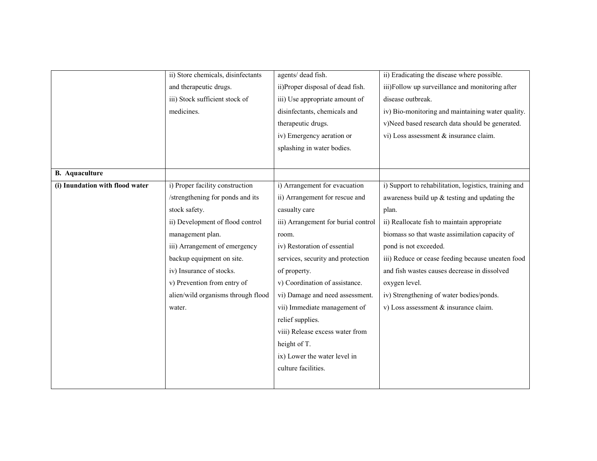|                                 | ii) Store chemicals, disinfectants | agents/ dead fish.                  | ii) Eradicating the disease where possible.           |
|---------------------------------|------------------------------------|-------------------------------------|-------------------------------------------------------|
|                                 | and therapeutic drugs.             | ii)Proper disposal of dead fish.    | iii)Follow up surveillance and monitoring after       |
|                                 | iii) Stock sufficient stock of     | iii) Use appropriate amount of      | disease outbreak.                                     |
|                                 | medicines.                         | disinfectants, chemicals and        | iv) Bio-monitoring and maintaining water quality.     |
|                                 |                                    | therapeutic drugs.                  | v)Need based research data should be generated.       |
|                                 |                                    | iv) Emergency aeration or           | vi) Loss assessment & insurance claim.                |
|                                 |                                    | splashing in water bodies.          |                                                       |
|                                 |                                    |                                     |                                                       |
| <b>B.</b> Aquaculture           |                                    |                                     |                                                       |
| (i) Inundation with flood water | i) Proper facility construction    | i) Arrangement for evacuation       | i) Support to rehabilitation, logistics, training and |
|                                 | /strengthening for ponds and its   | ii) Arrangement for rescue and      | awareness build up $&$ testing and updating the       |
|                                 | stock safety.                      | casualty care                       | plan.                                                 |
|                                 | ii) Development of flood control   | iii) Arrangement for burial control | ii) Reallocate fish to maintain appropriate           |
|                                 | management plan.                   | room.                               | biomass so that waste assimilation capacity of        |
|                                 | iii) Arrangement of emergency      | iv) Restoration of essential        | pond is not exceeded.                                 |
|                                 | backup equipment on site.          | services, security and protection   | iii) Reduce or cease feeding because uneaten food     |
|                                 | iv) Insurance of stocks.           | of property.                        | and fish wastes causes decrease in dissolved          |
|                                 | v) Prevention from entry of        | v) Coordination of assistance.      | oxygen level.                                         |
|                                 | alien/wild organisms through flood | vi) Damage and need assessment.     | iv) Strengthening of water bodies/ponds.              |
|                                 | water.                             | vii) Immediate management of        | v) Loss assessment $&$ insurance claim.               |
|                                 |                                    | relief supplies.                    |                                                       |
|                                 |                                    | viii) Release excess water from     |                                                       |
|                                 |                                    | height of T.                        |                                                       |
|                                 |                                    | ix) Lower the water level in        |                                                       |
|                                 |                                    | culture facilities.                 |                                                       |
|                                 |                                    |                                     |                                                       |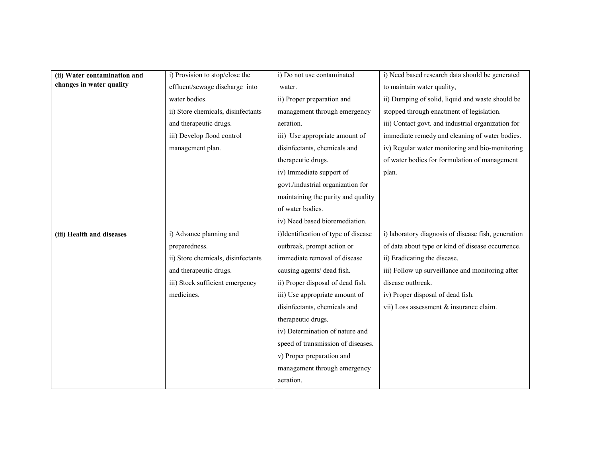| (ii) Water contamination and | i) Provision to stop/close the     | i) Do not use contaminated          | i) Need based research data should be generated     |
|------------------------------|------------------------------------|-------------------------------------|-----------------------------------------------------|
| changes in water quality     | effluent/sewage discharge into     | water.                              | to maintain water quality,                          |
|                              | water bodies.                      | ii) Proper preparation and          | ii) Dumping of solid, liquid and waste should be    |
|                              | ii) Store chemicals, disinfectants | management through emergency        | stopped through enactment of legislation.           |
|                              | and therapeutic drugs.             | aeration.                           | iii) Contact govt. and industrial organization for  |
|                              | iii) Develop flood control         | iii) Use appropriate amount of      | immediate remedy and cleaning of water bodies.      |
|                              | management plan.                   | disinfectants, chemicals and        | iv) Regular water monitoring and bio-monitoring     |
|                              |                                    | therapeutic drugs.                  | of water bodies for formulation of management       |
|                              |                                    | iv) Immediate support of            | plan.                                               |
|                              |                                    | govt./industrial organization for   |                                                     |
|                              |                                    | maintaining the purity and quality  |                                                     |
|                              |                                    | of water bodies.                    |                                                     |
|                              |                                    | iv) Need based bioremediation.      |                                                     |
| (iii) Health and diseases    | i) Advance planning and            | i)Identification of type of disease | i) laboratory diagnosis of disease fish, generation |
|                              | preparedness.                      | outbreak, prompt action or          | of data about type or kind of disease occurrence.   |
|                              | ii) Store chemicals, disinfectants | immediate removal of disease        | ii) Eradicating the disease.                        |
|                              | and therapeutic drugs.             | causing agents/ dead fish.          | iii) Follow up surveillance and monitoring after    |
|                              | iii) Stock sufficient emergency    | ii) Proper disposal of dead fish.   | disease outbreak.                                   |
|                              | medicines.                         | iii) Use appropriate amount of      | iv) Proper disposal of dead fish.                   |
|                              |                                    | disinfectants, chemicals and        | vii) Loss assessment & insurance claim.             |
|                              |                                    | therapeutic drugs.                  |                                                     |
|                              |                                    | iv) Determination of nature and     |                                                     |
|                              |                                    | speed of transmission of diseases.  |                                                     |
|                              |                                    | v) Proper preparation and           |                                                     |
|                              |                                    | management through emergency        |                                                     |
|                              |                                    | aeration.                           |                                                     |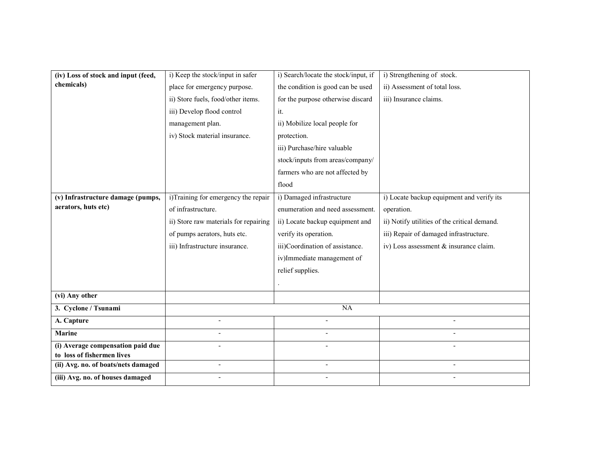| (iv) Loss of stock and input (feed, | i) Keep the stock/input in safer      | i) Search/locate the stock/input, if | i) Strengthening of stock.                   |
|-------------------------------------|---------------------------------------|--------------------------------------|----------------------------------------------|
| chemicals)                          | place for emergency purpose.          | the condition is good can be used    | ii) Assessment of total loss.                |
|                                     | ii) Store fuels, food/other items.    | for the purpose otherwise discard    | iii) Insurance claims.                       |
|                                     | iii) Develop flood control            | it.                                  |                                              |
|                                     | management plan.                      | ii) Mobilize local people for        |                                              |
|                                     | iv) Stock material insurance.         | protection.                          |                                              |
|                                     |                                       | iii) Purchase/hire valuable          |                                              |
|                                     |                                       | stock/inputs from areas/company/     |                                              |
|                                     |                                       | farmers who are not affected by      |                                              |
|                                     |                                       | flood                                |                                              |
| (v) Infrastructure damage (pumps,   | i)Training for emergency the repair   | i) Damaged infrastructure            | i) Locate backup equipment and verify its    |
| aerators, huts etc)                 | of infrastructure.                    | enumeration and need assessment.     | operation.                                   |
|                                     | ii) Store raw materials for repairing | ii) Locate backup equipment and      | ii) Notify utilities of the critical demand. |
|                                     | of pumps aerators, huts etc.          | verify its operation.                | iii) Repair of damaged infrastructure.       |
|                                     | iii) Infrastructure insurance.        | iii)Coordination of assistance.      | iv) Loss assessment & insurance claim.       |
|                                     |                                       | iv)Immediate management of           |                                              |
|                                     |                                       | relief supplies.                     |                                              |
|                                     |                                       |                                      |                                              |
| (vi) Any other                      |                                       |                                      |                                              |
| 3. Cyclone / Tsunami                |                                       | <b>NA</b>                            |                                              |
| A. Capture                          | $\overline{a}$                        |                                      |                                              |
| <b>Marine</b>                       | $\overline{a}$                        |                                      |                                              |
| (i) Average compensation paid due   |                                       |                                      |                                              |
| to loss of fishermen lives          | $\overline{a}$                        | $\overline{a}$                       |                                              |
| (ii) Avg. no. of boats/nets damaged |                                       |                                      |                                              |
| (iii) Avg. no. of houses damaged    |                                       |                                      |                                              |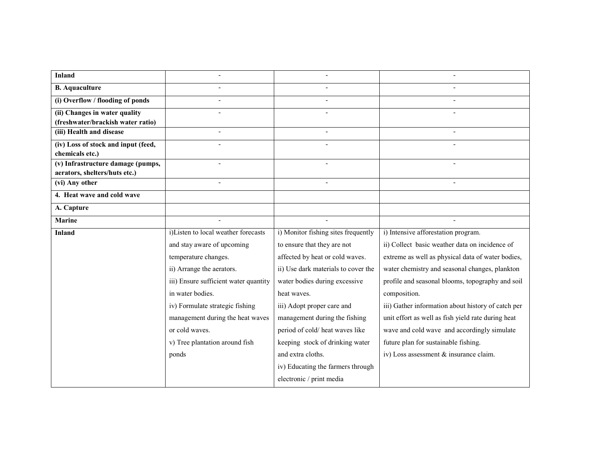| <b>Inland</b>                       |                                       |                                     |                                                    |
|-------------------------------------|---------------------------------------|-------------------------------------|----------------------------------------------------|
| <b>B.</b> Aquaculture               | $\overline{a}$                        |                                     |                                                    |
| (i) Overflow / flooding of ponds    | $\blacksquare$                        |                                     |                                                    |
| (ii) Changes in water quality       | $\blacksquare$                        |                                     |                                                    |
| (freshwater/brackish water ratio)   |                                       |                                     |                                                    |
| (iii) Health and disease            | $\blacksquare$                        | $\blacksquare$                      |                                                    |
| (iv) Loss of stock and input (feed, |                                       |                                     |                                                    |
| chemicals etc.)                     |                                       |                                     |                                                    |
| (v) Infrastructure damage (pumps,   |                                       |                                     |                                                    |
| aerators, shelters/huts etc.)       |                                       |                                     |                                                    |
| (vi) Any other                      | $\overline{a}$                        | $\overline{a}$                      |                                                    |
| 4. Heat wave and cold wave          |                                       |                                     |                                                    |
| A. Capture                          |                                       |                                     |                                                    |
| <b>Marine</b>                       |                                       |                                     |                                                    |
| <b>Inland</b>                       | i)Listen to local weather forecasts   | i) Monitor fishing sites frequently | i) Intensive afforestation program.                |
|                                     | and stay aware of upcoming            | to ensure that they are not         | ii) Collect basic weather data on incidence of     |
|                                     | temperature changes.                  | affected by heat or cold waves.     | extreme as well as physical data of water bodies,  |
|                                     | ii) Arrange the aerators.             | ii) Use dark materials to cover the | water chemistry and seasonal changes, plankton     |
|                                     | iii) Ensure sufficient water quantity | water bodies during excessive       | profile and seasonal blooms, topography and soil   |
|                                     | in water bodies.                      | heat waves.                         | composition.                                       |
|                                     | iv) Formulate strategic fishing       | iii) Adopt proper care and          | iii) Gather information about history of catch per |
|                                     | management during the heat waves      | management during the fishing       | unit effort as well as fish yield rate during heat |
|                                     | or cold waves.                        | period of cold/heat waves like      | wave and cold wave and accordingly simulate        |
|                                     | v) Tree plantation around fish        | keeping stock of drinking water     | future plan for sustainable fishing.               |
|                                     | ponds                                 | and extra cloths.                   | iv) Loss assessment & insurance claim.             |
|                                     |                                       | iv) Educating the farmers through   |                                                    |
|                                     |                                       | electronic / print media            |                                                    |
|                                     |                                       |                                     |                                                    |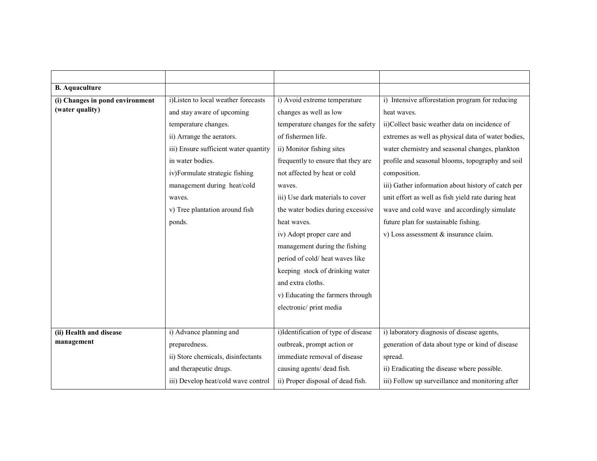| <b>B.</b> Aquaculture           |                                       |                                     |                                                    |
|---------------------------------|---------------------------------------|-------------------------------------|----------------------------------------------------|
| (i) Changes in pond environment | i)Listen to local weather forecasts   | i) Avoid extreme temperature        | i) Intensive afforestation program for reducing    |
| (water quality)                 | and stay aware of upcoming            | changes as well as low              | heat waves.                                        |
|                                 | temperature changes.                  | temperature changes for the safety  | ii)Collect basic weather data on incidence of      |
|                                 | ii) Arrange the aerators.             | of fishermen life.                  | extremes as well as physical data of water bodies, |
|                                 | iii) Ensure sufficient water quantity | ii) Monitor fishing sites           | water chemistry and seasonal changes, plankton     |
|                                 | in water bodies.                      | frequently to ensure that they are  | profile and seasonal blooms, topography and soil   |
|                                 | iv)Formulate strategic fishing        | not affected by heat or cold        | composition.                                       |
|                                 | management during heat/cold           | waves.                              | iii) Gather information about history of catch per |
|                                 | waves.                                | iii) Use dark materials to cover    | unit effort as well as fish yield rate during heat |
|                                 | v) Tree plantation around fish        | the water bodies during excessive   | wave and cold wave and accordingly simulate        |
|                                 | ponds.                                | heat waves.                         | future plan for sustainable fishing.               |
|                                 |                                       | iv) Adopt proper care and           | v) Loss assessment & insurance claim.              |
|                                 |                                       | management during the fishing       |                                                    |
|                                 |                                       | period of cold/heat waves like      |                                                    |
|                                 |                                       | keeping stock of drinking water     |                                                    |
|                                 |                                       | and extra cloths.                   |                                                    |
|                                 |                                       | v) Educating the farmers through    |                                                    |
|                                 |                                       | electronic/print media              |                                                    |
|                                 |                                       |                                     |                                                    |
| (ii) Health and disease         | i) Advance planning and               | i)Identification of type of disease | i) laboratory diagnosis of disease agents,         |
| management                      | preparedness.                         | outbreak, prompt action or          | generation of data about type or kind of disease   |
|                                 | ii) Store chemicals, disinfectants    | immediate removal of disease        | spread.                                            |
|                                 | and therapeutic drugs.                | causing agents/ dead fish.          | ii) Eradicating the disease where possible.        |
|                                 | iii) Develop heat/cold wave control   | ii) Proper disposal of dead fish.   | iii) Follow up surveillance and monitoring after   |